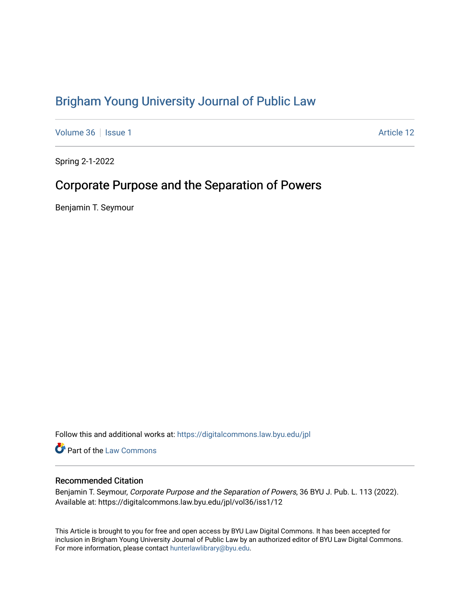# [Brigham Young University Journal of Public Law](https://digitalcommons.law.byu.edu/jpl)

[Volume 36](https://digitalcommons.law.byu.edu/jpl/vol36) | [Issue 1](https://digitalcommons.law.byu.edu/jpl/vol36/iss1) Article 12

Spring 2-1-2022

# Corporate Purpose and the Separation of Powers

Benjamin T. Seymour

Follow this and additional works at: [https://digitalcommons.law.byu.edu/jpl](https://digitalcommons.law.byu.edu/jpl?utm_source=digitalcommons.law.byu.edu%2Fjpl%2Fvol36%2Fiss1%2F12&utm_medium=PDF&utm_campaign=PDFCoverPages) 

**C** Part of the [Law Commons](http://network.bepress.com/hgg/discipline/578?utm_source=digitalcommons.law.byu.edu%2Fjpl%2Fvol36%2Fiss1%2F12&utm_medium=PDF&utm_campaign=PDFCoverPages)

# Recommended Citation

Benjamin T. Seymour, Corporate Purpose and the Separation of Powers, 36 BYU J. Pub. L. 113 (2022). Available at: https://digitalcommons.law.byu.edu/jpl/vol36/iss1/12

This Article is brought to you for free and open access by BYU Law Digital Commons. It has been accepted for inclusion in Brigham Young University Journal of Public Law by an authorized editor of BYU Law Digital Commons. For more information, please contact [hunterlawlibrary@byu.edu](mailto:hunterlawlibrary@byu.edu).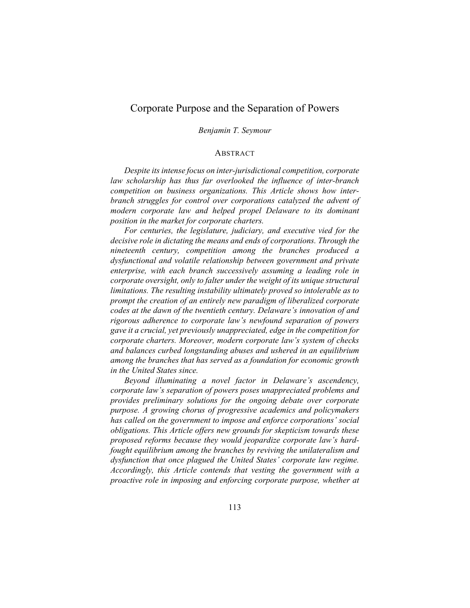# Corporate Purpose and the Separation of Powers

## *Benjamin T. Seymour*

## ABSTRACT

*Despite its intense focus on inter-jurisdictional competition, corporate law scholarship has thus far overlooked the influence of inter-branch competition on business organizations. This Article shows how interbranch struggles for control over corporations catalyzed the advent of modern corporate law and helped propel Delaware to its dominant position in the market for corporate charters.*

*For centuries, the legislature, judiciary, and executive vied for the decisive role in dictating the means and ends of corporations. Through the nineteenth century, competition among the branches produced a dysfunctional and volatile relationship between government and private enterprise, with each branch successively assuming a leading role in corporate oversight, only to falter under the weight of its unique structural limitations. The resulting instability ultimately proved so intolerable as to prompt the creation of an entirely new paradigm of liberalized corporate codes at the dawn of the twentieth century. Delaware's innovation of and rigorous adherence to corporate law's newfound separation of powers gave it a crucial, yet previously unappreciated, edge in the competition for corporate charters. Moreover, modern corporate law's system of checks and balances curbed longstanding abuses and ushered in an equilibrium among the branches that has served as a foundation for economic growth in the United States since.*

*Beyond illuminating a novel factor in Delaware's ascendency, corporate law's separation of powers poses unappreciated problems and provides preliminary solutions for the ongoing debate over corporate purpose. A growing chorus of progressive academics and policymakers has called on the government to impose and enforce corporations' social obligations. This Article offers new grounds for skepticism towards these proposed reforms because they would jeopardize corporate law's hardfought equilibrium among the branches by reviving the unilateralism and dysfunction that once plagued the United States' corporate law regime. Accordingly, this Article contends that vesting the government with a proactive role in imposing and enforcing corporate purpose, whether at*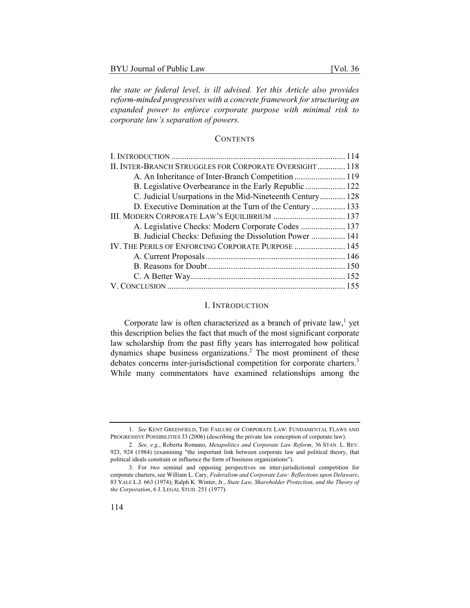*the state or federal level, is ill advised. Yet this Article also provides reform-minded progressives with a concrete framework for structuring an expanded power to enforce corporate purpose with minimal risk to corporate law's separation of powers.* 

# **CONTENTS**

| II. INTER-BRANCH STRUGGLES FOR CORPORATE OVERSIGHT 118    |  |
|-----------------------------------------------------------|--|
| A. An Inheritance of Inter-Branch Competition  119        |  |
| B. Legislative Overbearance in the Early Republic  122    |  |
| C. Judicial Usurpations in the Mid-Nineteenth Century 128 |  |
| D. Executive Domination at the Turn of the Century 133    |  |
| III. MODERN CORPORATE LAW'S EQUILIBRIUM  137              |  |
| A. Legislative Checks: Modern Corporate Codes  137        |  |
| B. Judicial Checks: Defusing the Dissolution Power  141   |  |
| IV. THE PERILS OF ENFORCING CORPORATE PURPOSE  145        |  |
|                                                           |  |
|                                                           |  |
|                                                           |  |
|                                                           |  |
|                                                           |  |

# I. INTRODUCTION

Corporate law is often characterized as a branch of private law,<sup>1</sup> yet this description belies the fact that much of the most significant corporate law scholarship from the past fifty years has interrogated how political dynamics shape business organizations.<sup>2</sup> The most prominent of these debates concerns inter-jurisdictional competition for corporate charters.<sup>3</sup> While many commentators have examined relationships among the

<sup>1</sup>*. See* KENT GREENFIELD, THE FAILURE OF CORPORATE LAW: FUNDAMENTAL FLAWS AND PROGRESSIVE POSSIBILITIES 33 (2006) (describing the private law conception of corporate law).

<sup>2</sup>*. See, e.g.*, Roberta Romano, *Metapolitics and Corporate Law Reform*, 36 STAN. L. REV. 923, 924 (1984) (examining "the important link between corporate law and political theory, that political ideals constrain or influence the form of business organizations").

<sup>3.</sup> For two seminal and opposing perspectives on inter-jurisdictional competition for corporate charters, see William L. Cary, *Federalism and Corporate Law: Reflections upon Delaware*, 83 YALE L.J. 663 (1974); Ralph K. Winter, Jr., *State Law, Shareholder Protection, and the Theory of the Corporation*, 6 J. LEGAL STUD. 251 (1977).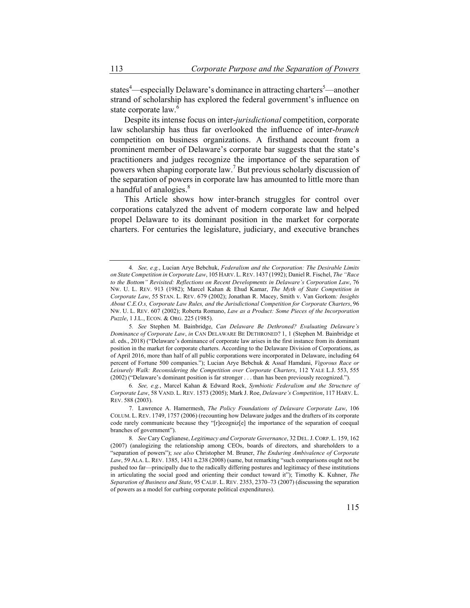states<sup>4</sup>—especially Delaware's dominance in attracting charters<sup>5</sup>—another strand of scholarship has explored the federal government's influence on state corporate law.<sup>6</sup>

Despite its intense focus on inter-*jurisdictional* competition, corporate law scholarship has thus far overlooked the influence of inter-*branch* competition on business organizations. A firsthand account from a prominent member of Delaware's corporate bar suggests that the state's practitioners and judges recognize the importance of the separation of powers when shaping corporate law.<sup>7</sup> But previous scholarly discussion of the separation of powers in corporate law has amounted to little more than a handful of analogies.<sup>8</sup>

This Article shows how inter-branch struggles for control over corporations catalyzed the advent of modern corporate law and helped propel Delaware to its dominant position in the market for corporate charters. For centuries the legislature, judiciary, and executive branches

<sup>4</sup>*. See, e.g.*, Lucian Arye Bebchuk, *Federalism and the Corporation: The Desirable Limits on State Competition in Corporate Law*, 105 HARV. L.REV. 1437 (1992); Daniel R. Fischel, *The "Race to the Bottom" Revisited: Reflections on Recent Developments in Delaware's Corporation Law*, 76 NW. U. L. REV. 913 (1982); Marcel Kahan & Ehud Kamar, *The Myth of State Competition in Corporate Law*, 55 STAN. L. REV. 679 (2002); Jonathan R. Macey, Smith v. Van Gorkom*: Insights About C.E.O.s, Corporate Law Rules, and the Jurisdictional Competition for Corporate Charters*, 96 NW. U. L. REV. 607 (2002); Roberta Romano, *Law as a Product: Some Pieces of the Incorporation Puzzle*, 1 J.L., ECON. & ORG. 225 (1985).

<sup>5</sup>*. See* Stephen M. Bainbridge, *Can Delaware Be Dethroned? Evaluating Delaware's Dominance of Corporate Law*, *in* CAN DELAWARE BE DETHRONED? 1, 1 (Stephen M. Bainbridge et al. eds., 2018) ("Delaware's dominance of corporate law arises in the first instance from its dominant position in the market for corporate charters. According to the Delaware Division of Corporations, as of April 2016, more than half of all public corporations were incorporated in Delaware, including 64 percent of Fortune 500 companies."); Lucian Arye Bebchuk & Assaf Hamdani, *Vigorous Race or Leisurely Walk: Reconsidering the Competition over Corporate Charters*, 112 YALE L.J. 553, 555 (2002) ("Delaware's dominant position is far stronger . . . than has been previously recognized.").

<sup>6</sup>*. See, e.g.*, Marcel Kahan & Edward Rock, *Symbiotic Federalism and the Structure of Corporate Law*, 58 VAND. L. REV. 1573 (2005); Mark J. Roe, *Delaware's Competition*, 117 HARV. L. REV. 588 (2003).

<sup>7.</sup> Lawrence A. Hamermesh, *The Policy Foundations of Delaware Corporate Law*, 106 COLUM. L. REV. 1749, 1757 (2006) (recounting how Delaware judges and the drafters of its corporate code rarely communicate because they "[r]ecogniz[e] the importance of the separation of coequal branches of government").

<sup>8</sup>*. See* Cary Coglianese, *Legitimacy and Corporate Governance*, 32 DEL.J.CORP. L. 159, 162 (2007) (analogizing the relationship among CEOs, boards of directors, and shareholders to a "separation of powers"); *see also* Christopher M. Bruner, *The Enduring Ambivalence of Corporate Law*, 59 ALA. L. REV. 1385, 1431 n.238 (2008) (same, but remarking "such comparisons ought not be pushed too far—principally due to the radically differing postures and legitimacy of these institutions in articulating the social good and orienting their conduct toward it"); Timothy K. Kuhner, *The Separation of Business and State*, 95 CALIF. L. REV. 2353, 2370–73 (2007) (discussing the separation of powers as a model for curbing corporate political expenditures).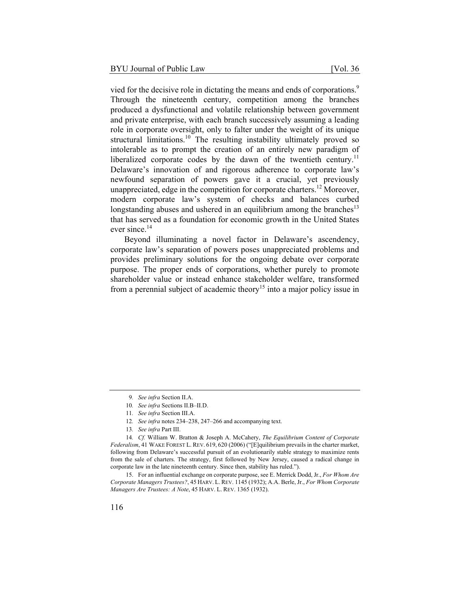vied for the decisive role in dictating the means and ends of corporations.<sup>9</sup> Through the nineteenth century, competition among the branches produced a dysfunctional and volatile relationship between government and private enterprise, with each branch successively assuming a leading role in corporate oversight, only to falter under the weight of its unique structural limitations.<sup>10</sup> The resulting instability ultimately proved so intolerable as to prompt the creation of an entirely new paradigm of liberalized corporate codes by the dawn of the twentieth century.<sup>11</sup> Delaware's innovation of and rigorous adherence to corporate law's newfound separation of powers gave it a crucial, yet previously unappreciated, edge in the competition for corporate charters.<sup>12</sup> Moreover, modern corporate law's system of checks and balances curbed longstanding abuses and ushered in an equilibrium among the branches<sup>13</sup> that has served as a foundation for economic growth in the United States ever since.<sup>14</sup>

Beyond illuminating a novel factor in Delaware's ascendency, corporate law's separation of powers poses unappreciated problems and provides preliminary solutions for the ongoing debate over corporate purpose. The proper ends of corporations, whether purely to promote shareholder value or instead enhance stakeholder welfare, transformed from a perennial subject of academic theory<sup>15</sup> into a major policy issue in

<sup>9</sup>*. See infra* Section II.A.

<sup>10</sup>*. See infra* Sections II.B–II.D.

<sup>11</sup>*. See infra* Section III.A.

<sup>12</sup>*. See infra* notes 234–238, 247–266 and accompanying text.

<sup>13</sup>*. See infra* Part III.

<sup>14</sup>*. Cf.* William W. Bratton & Joseph A. McCahery, *The Equilibrium Content of Corporate Federalism*, 41 WAKE FOREST L. REV. 619, 620 (2006) ("[E]quilibrium prevails in the charter market, following from Delaware's successful pursuit of an evolutionarily stable strategy to maximize rents from the sale of charters. The strategy, first followed by New Jersey, caused a radical change in corporate law in the late nineteenth century. Since then, stability has ruled.").

<sup>15.</sup> For an influential exchange on corporate purpose, see E. Merrick Dodd, Jr., *For Whom Are Corporate Managers Trustees?*, 45 HARV. L. REV. 1145 (1932); A.A. Berle, Jr., *For Whom Corporate Managers Are Trustees: A Note*, 45 HARV. L. REV. 1365 (1932).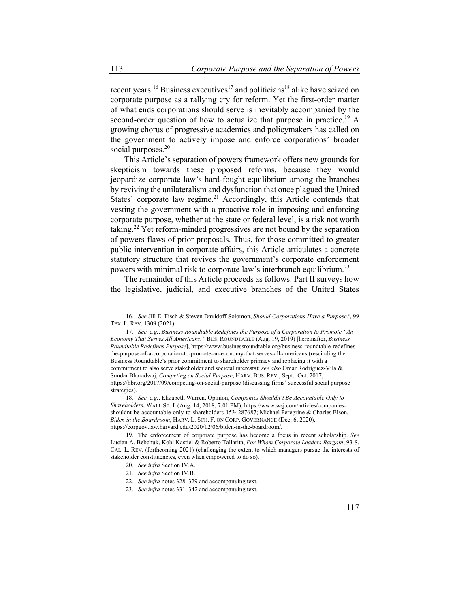recent years.<sup>16</sup> Business executives<sup>17</sup> and politicians<sup>18</sup> alike have seized on corporate purpose as a rallying cry for reform. Yet the first-order matter of what ends corporations should serve is inevitably accompanied by the second-order question of how to actualize that purpose in practice.<sup>19</sup> A growing chorus of progressive academics and policymakers has called on the government to actively impose and enforce corporations' broader social purposes.<sup>20</sup>

This Article's separation of powers framework offers new grounds for skepticism towards these proposed reforms, because they would jeopardize corporate law's hard-fought equilibrium among the branches by reviving the unilateralism and dysfunction that once plagued the United States' corporate law regime.<sup>21</sup> Accordingly, this Article contends that vesting the government with a proactive role in imposing and enforcing corporate purpose, whether at the state or federal level, is a risk not worth taking.22 Yet reform-minded progressives are not bound by the separation of powers flaws of prior proposals. Thus, for those committed to greater public intervention in corporate affairs, this Article articulates a concrete statutory structure that revives the government's corporate enforcement powers with minimal risk to corporate law's interbranch equilibrium.<sup>23</sup>

The remainder of this Article proceeds as follows: Part II surveys how the legislative, judicial, and executive branches of the United States

18*. See, e.g.*, Elizabeth Warren, Opinion, *Companies Shouldn't Be Accountable Only to Shareholders*, WALL ST. J. (Aug. 14, 2018, 7:01 PM), https://www.wsj.com/articles/companiesshouldnt-be-accountable-only-to-shareholders-1534287687; Michael Peregrine & Charles Elson, *Biden in the Boardroom*, HARV. L. SCH. F. ON CORP. GOVERNANCE (Dec. 6, 2020), https://corpgov.law.harvard.edu/2020/12/06/biden-in-the-boardroom/.

<sup>16</sup>*. See* Jill E. Fisch & Steven Davidoff Solomon, *Should Corporations Have a Purpose?*, 99 TEX. L. REV. 1309 (2021).

<sup>17</sup>*. See, e.g.*, *Business Roundtable Redefines the Purpose of a Corporation to Promote "An Economy That Serves All Americans*,*"* BUS. ROUNDTABLE (Aug. 19, 2019) [hereinafter, *Business Roundtable Redefines Purpose*], https://www.businessroundtable.org/business-roundtable-redefinesthe-purpose-of-a-corporation-to-promote-an-economy-that-serves-all-americans (rescinding the Business Roundtable's prior commitment to shareholder primacy and replacing it with a commitment to also serve stakeholder and societal interests); *see also* Omar Rodríguez-Vilá & Sundar Bharadwaj, *Competing on Social Purpose*, HARV. BUS. REV., Sept.–Oct. 2017, https://hbr.org/2017/09/competing-on-social-purpose (discussing firms' successful social purpose strategies).

<sup>19.</sup> The enforcement of corporate purpose has become a focus in recent scholarship. *See*  Lucian A. Bebchuk, Kobi Kastiel & Roberto Tallarita, *For Whom Corporate Leaders Bargain*, 93 S. CAL. L. REV. (forthcoming 2021) (challenging the extent to which managers pursue the interests of stakeholder constituencies, even when empowered to do so).

<sup>20</sup>*. See infra* Section IV.A.

<sup>21</sup>*. See infra* Section IV.B.

<sup>22</sup>*. See infra* notes 328–329 and accompanying text.

<sup>23</sup>*. See infra* notes 331–342 and accompanying text.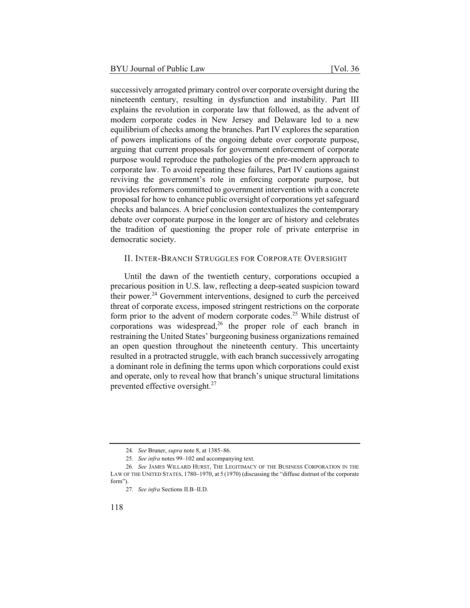successively arrogated primary control over corporate oversight during the nineteenth century, resulting in dysfunction and instability. Part III explains the revolution in corporate law that followed, as the advent of modern corporate codes in New Jersey and Delaware led to a new equilibrium of checks among the branches. Part IV explores the separation of powers implications of the ongoing debate over corporate purpose, arguing that current proposals for government enforcement of corporate purpose would reproduce the pathologies of the pre-modern approach to corporate law. To avoid repeating these failures, Part IV cautions against reviving the government's role in enforcing corporate purpose, but provides reformers committed to government intervention with a concrete proposal for how to enhance public oversight of corporations yet safeguard checks and balances. A brief conclusion contextualizes the contemporary debate over corporate purpose in the longer arc of history and celebrates the tradition of questioning the proper role of private enterprise in democratic society.

# II. INTER-BRANCH STRUGGLES FOR CORPORATE OVERSIGHT

Until the dawn of the twentieth century, corporations occupied a precarious position in U.S. law, reflecting a deep-seated suspicion toward their power. $^{24}$  Government interventions, designed to curb the perceived threat of corporate excess, imposed stringent restrictions on the corporate form prior to the advent of modern corporate codes.<sup>25</sup> While distrust of corporations was widespread,  $2^6$  the proper role of each branch in restraining the United States' burgeoning business organizations remained an open question throughout the nineteenth century. This uncertainty resulted in a protracted struggle, with each branch successively arrogating a dominant role in defining the terms upon which corporations could exist and operate, only to reveal how that branch's unique structural limitations prevented effective oversight.<sup>27</sup>

<sup>24</sup>*. See* Bruner, *supra* note 8, at 1385–86.

<sup>25</sup>*. See infra* notes 99–102 and accompanying text.

<sup>26</sup>*. See* JAMES WILLARD HURST, THE LEGITIMACY OF THE BUSINESS CORPORATION IN THE LAW OF THE UNITED STATES, 1780–1970, at 5 (1970) (discussing the "diffuse distrust of the corporate form").

<sup>27</sup>*. See infra* Sections II.B–II.D.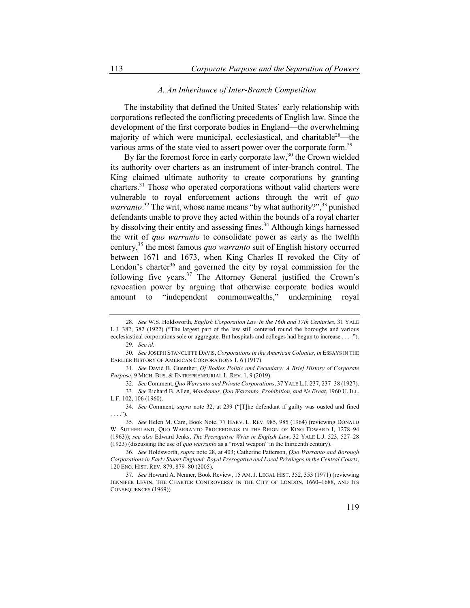## *A. An Inheritance of Inter-Branch Competition*

The instability that defined the United States' early relationship with corporations reflected the conflicting precedents of English law. Since the development of the first corporate bodies in England—the overwhelming majority of which were municipal, ecclesiastical, and charitable<sup>28</sup>—the various arms of the state vied to assert power over the corporate form.<sup>29</sup>

By far the foremost force in early corporate law,  $30$  the Crown wielded its authority over charters as an instrument of inter-branch control. The King claimed ultimate authority to create corporations by granting charters.31 Those who operated corporations without valid charters were vulnerable to royal enforcement actions through the writ of *quo*  warranto.<sup>32</sup> The writ, whose name means "by what authority?",<sup>33</sup> punished defendants unable to prove they acted within the bounds of a royal charter by dissolving their entity and assessing fines.<sup>34</sup> Although kings harnessed the writ of *quo warranto* to consolidate power as early as the twelfth century,35 the most famous *quo warranto* suit of English history occurred between 1671 and 1673, when King Charles II revoked the City of London's charter<sup>36</sup> and governed the city by royal commission for the following five years.<sup>37</sup> The Attorney General justified the Crown's revocation power by arguing that otherwise corporate bodies would amount to "independent commonwealths," undermining royal

<sup>28</sup>*. See* W.S. Holdsworth, *English Corporation Law in the 16th and 17th Centuries*, 31 YALE L.J. 382, 382 (1922) ("The largest part of the law still centered round the boroughs and various ecclesiastical corporations sole or aggregate. But hospitals and colleges had begun to increase . . . .").

<sup>29</sup>*. See id.*

<sup>30</sup>*. See* JOSEPH STANCLIFFE DAVIS, *Corporations in the American Colonies*, *in* ESSAYS IN THE EARLIER HISTORY OF AMERICAN CORPORATIONS 1, 6 (1917).

<sup>31</sup>*. See* David B. Guenther, *Of Bodies Politic and Pecuniary: A Brief History of Corporate Purpose*, 9 MICH. BUS. & ENTREPRENEURIAL L. REV. 1, 9 (2019).

<sup>32</sup>*. See* Comment, *Quo Warranto and Private Corporations*, 37 YALE L.J. 237, 237–38 (1927).

<sup>33</sup>*. See* Richard B. Allen, *Mandamus, Quo Warranto, Prohibition, and Ne Exeat*, 1960 U. ILL. L.F. 102, 106 (1960).

<sup>34</sup>*. See* Comment, *supra* note 32, at 239 ("[T]he defendant if guilty was ousted and fined . . . .").

<sup>35</sup>*. See* Helen M. Cam, Book Note, 77 HARV. L. REV. 985, 985 (1964) (reviewing DONALD W. SUTHERLAND, QUO WARRANTO PROCEEDINGS IN THE REIGN OF KING EDWARD I, 1278–94 (1963)); *see also* Edward Jenks, *The Prerogative Writs in English Law*, 32 YALE L.J. 523, 527–28 (1923) (discussing the use of *quo warranto* as a "royal weapon" in the thirteenth century).

<sup>36</sup>*. See* Holdsworth, *supra* note 28, at 403; Catherine Patterson, *Quo Warranto and Borough Corporations in Early Stuart England: Royal Prerogative and Local Privileges in the Central Courts*, 120 ENG. HIST. REV. 879, 879–80 (2005).

<sup>37</sup>*. See* Howard A. Nenner, Book Review, 15 AM. J. LEGAL HIST. 352, 353 (1971) (reviewing JENNIFER LEVIN, THE CHARTER CONTROVERSY IN THE CITY OF LONDON, 1660–1688, AND ITS CONSEQUENCES (1969)).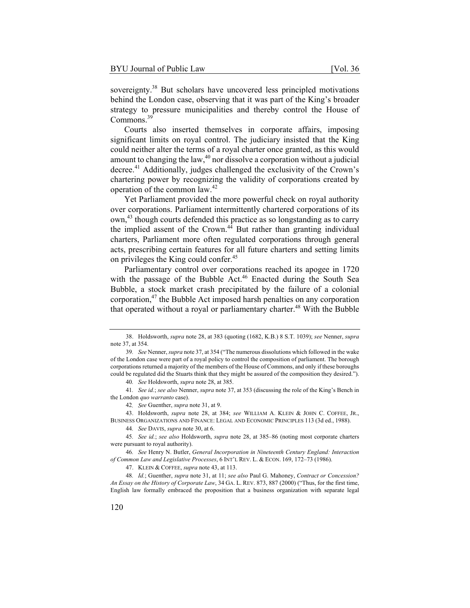sovereignty.<sup>38</sup> But scholars have uncovered less principled motivations behind the London case, observing that it was part of the King's broader strategy to pressure municipalities and thereby control the House of Commons.<sup>39</sup>

Courts also inserted themselves in corporate affairs, imposing significant limits on royal control. The judiciary insisted that the King could neither alter the terms of a royal charter once granted, as this would amount to changing the law,  $40$  nor dissolve a corporation without a judicial decree.<sup>41</sup> Additionally, judges challenged the exclusivity of the Crown's chartering power by recognizing the validity of corporations created by operation of the common law.<sup>42</sup>

Yet Parliament provided the more powerful check on royal authority over corporations. Parliament intermittently chartered corporations of its own,<sup>43</sup> though courts defended this practice as so longstanding as to carry the implied assent of the Crown.<sup>44</sup> But rather than granting individual charters, Parliament more often regulated corporations through general acts, prescribing certain features for all future charters and setting limits on privileges the King could confer.45

Parliamentary control over corporations reached its apogee in 1720 with the passage of the Bubble  $Act<sup>46</sup>$  Enacted during the South Sea Bubble, a stock market crash precipitated by the failure of a colonial corporation, $47$  the Bubble Act imposed harsh penalties on any corporation that operated without a royal or parliamentary charter.<sup>48</sup> With the Bubble

<sup>38.</sup> Holdsworth, *supra* note 28, at 383 (quoting (1682, K.B.) 8 S.T. 1039); *see* Nenner, *supra* note 37, at 354.

<sup>39</sup>*. See* Nenner, *supra* note 37, at 354 ("The numerous dissolutions which followed in the wake of the London case were part of a royal policy to control the composition of parliament. The borough corporations returned a majority of the members of the House of Commons, and only if these boroughs could be regulated did the Stuarts think that they might be assured of the composition they desired.").

<sup>40</sup>*. See* Holdsworth, *supra* note 28, at 385.

<sup>41</sup>*. See id.*; *see also* Nenner, *supra* note 37, at 353 (discussing the role of the King's Bench in the London *quo warranto* case).

<sup>42</sup>*. See* Guenther, *supra* note 31, at 9.

<sup>43.</sup> Holdsworth, *supra* note 28, at 384; *see* WILLIAM A. KLEIN & JOHN C. COFFEE, JR., BUSINESS ORGANIZATIONS AND FINANCE: LEGAL AND ECONOMIC PRINCIPLES 113 (3d ed., 1988).

<sup>44</sup>*. See* DAVIS, *supra* note 30, at 6.

<sup>45</sup>*. See id.*; *see also* Holdsworth, *supra* note 28, at 385–86 (noting most corporate charters were pursuant to royal authority).

<sup>46</sup>*. See* Henry N. Butler, *General Incorporation in Nineteenth Century England: Interaction of Common Law and Legislative Processes*, 6 INT'L REV. L. & ECON. 169, 172–73 (1986).

<sup>47.</sup> KLEIN & COFFEE, *supra* note 43, at 113.

<sup>48</sup>*. Id.*; Guenther, *supra* note 31, at 11; *see also* Paul G. Mahoney, *Contract or Concession? An Essay on the History of Corporate Law*, 34 GA. L. REV. 873, 887 (2000) ("Thus, for the first time, English law formally embraced the proposition that a business organization with separate legal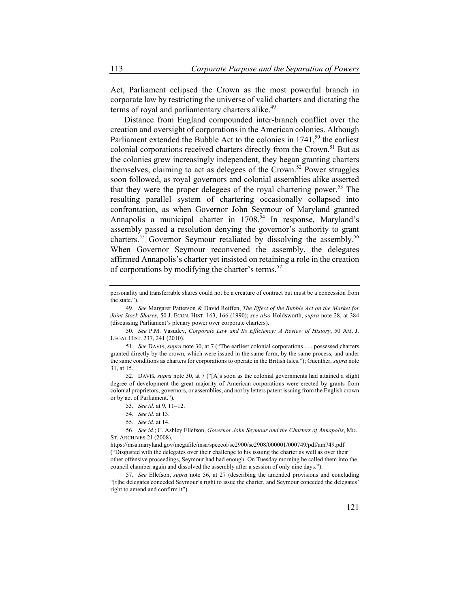Act, Parliament eclipsed the Crown as the most powerful branch in corporate law by restricting the universe of valid charters and dictating the terms of royal and parliamentary charters alike.<sup>49</sup>

Distance from England compounded inter-branch conflict over the creation and oversight of corporations in the American colonies. Although Parliament extended the Bubble Act to the colonies in  $1741$ ,<sup>50</sup> the earliest colonial corporations received charters directly from the Crown.<sup>51</sup> But as the colonies grew increasingly independent, they began granting charters themselves, claiming to act as delegees of the Crown.<sup>52</sup> Power struggles soon followed, as royal governors and colonial assemblies alike asserted that they were the proper delegees of the royal chartering power.<sup>53</sup> The resulting parallel system of chartering occasionally collapsed into confrontation, as when Governor John Seymour of Maryland granted Annapolis a municipal charter in 1708.<sup>54</sup> In response, Maryland's assembly passed a resolution denying the governor's authority to grant charters.<sup>55</sup> Governor Seymour retaliated by dissolving the assembly.<sup>56</sup> When Governor Seymour reconvened the assembly, the delegates affirmed Annapolis's charter yet insisted on retaining a role in the creation of corporations by modifying the charter's terms.<sup>57</sup>

52. DAVIS, *supra* note 30, at 7 ("[A]s soon as the colonial governments had attained a slight degree of development the great majority of American corporations were erected by grants from colonial proprietors, governors, or assemblies, and not by letters patent issuing from the English crown or by act of Parliament.").

56*. See id.*; C. Ashley Ellefson, *Governor John Seymour and the Charters of Annapolis*, MD. ST. ARCHIVES 21 (2008),

57*. See* Ellefson, *supra* note 56, at 27 (describing the amended provisions and concluding "[t]he delegates conceded Seymour's right to issue the charter, and Seymour conceded the delegates' right to amend and confirm it").

personality and transferrable shares could not be a creature of contract but must be a concession from the state.").

<sup>49</sup>*. See* Margaret Patterson & David Reiffen, *The Effect of the Bubble Act on the Market for Joint Stock Shares*, 50 J. ECON. HIST. 163, 166 (1990); *see also* Holdsworth, *supra* note 28, at 384 (discussing Parliament's plenary power over corporate charters).

<sup>50</sup>*. See* P.M. Vasudev, *Corporate Law and Its Efficiency: A Review of History*, 50 AM. J. LEGAL HIST. 237, 241 (2010).

<sup>51</sup>*. See* DAVIS, *supra* note 30, at 7 ("The earliest colonial corporations . . . possessed charters granted directly by the crown, which were issued in the same form, by the same process, and under the same conditions as charters for corporations to operate in the British Isles."); Guenther, *supra* note 31, at 15.

<sup>53</sup>*. See id.* at 9, 11–12.

<sup>54</sup>*. See id.* at 13.

<sup>55</sup>*. See id.* at 14.

https://msa.maryland.gov/megafile/msa/speccol/sc2900/sc2908/000001/000749/pdf/am749.pdf ("Disgusted with the delegates over their challenge to his issuing the charter as well as over their other offensive proceedings, Seymour had had enough. On Tuesday morning he called them into the council chamber again and dissolved the assembly after a session of only nine days.").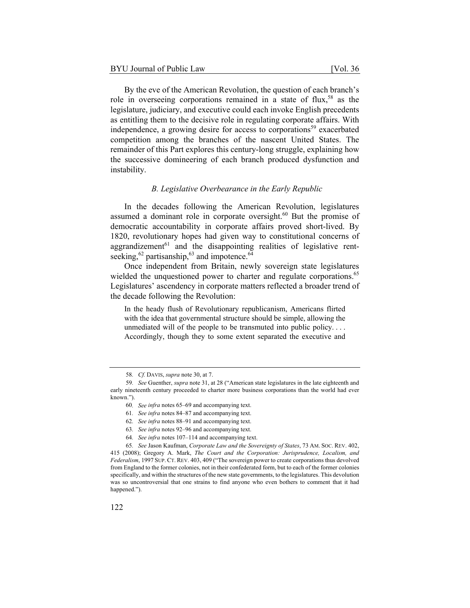By the eve of the American Revolution, the question of each branch's role in overseeing corporations remained in a state of flux,<sup>58</sup> as the legislature, judiciary, and executive could each invoke English precedents as entitling them to the decisive role in regulating corporate affairs. With independence, a growing desire for access to corporations<sup>59</sup> exacerbated competition among the branches of the nascent United States. The remainder of this Part explores this century-long struggle, explaining how the successive domineering of each branch produced dysfunction and instability.

## *B. Legislative Overbearance in the Early Republic*

In the decades following the American Revolution, legislatures assumed a dominant role in corporate oversight.<sup>60</sup> But the promise of democratic accountability in corporate affairs proved short-lived. By 1820, revolutionary hopes had given way to constitutional concerns of aggrandizement<sup>61</sup> and the disappointing realities of legislative rentseeking,  $^{62}$  partisanship,  $^{63}$  and impotence.  $^{64}$ 

Once independent from Britain, newly sovereign state legislatures wielded the unquestioned power to charter and regulate corporations.<sup>65</sup> Legislatures' ascendency in corporate matters reflected a broader trend of the decade following the Revolution:

In the heady flush of Revolutionary republicanism, Americans flirted with the idea that governmental structure should be simple, allowing the unmediated will of the people to be transmuted into public policy. . . . Accordingly, though they to some extent separated the executive and

<sup>58</sup>*. Cf.* DAVIS, *supra* note 30, at 7.

<sup>59</sup>*. See* Guenther, *supra* note 31, at 28 ("American state legislatures in the late eighteenth and early nineteenth century proceeded to charter more business corporations than the world had ever known.").

<sup>60</sup>*. See infra* notes 65–69 and accompanying text.

<sup>61</sup>*. See infra* notes 84–87 and accompanying text.

<sup>62</sup>*. See infra* notes 88–91 and accompanying text.

<sup>63</sup>*. See infra* notes 92–96 and accompanying text.

<sup>64</sup>*. See infra* notes 107–114 and accompanying text.

<sup>65</sup>*. See* Jason Kaufman, *Corporate Law and the Sovereignty of States*, 73 AM. SOC. REV. 402, 415 (2008); Gregory A. Mark, *The Court and the Corporation: Jurisprudence, Localism, and Federalism*, 1997 SUP. CT. REV. 403, 409 ("The sovereign power to create corporations thus devolved from England to the former colonies, not in their confederated form, but to each of the former colonies specifically, and within the structures of the new state governments, to the legislatures. This devolution was so uncontroversial that one strains to find anyone who even bothers to comment that it had happened.").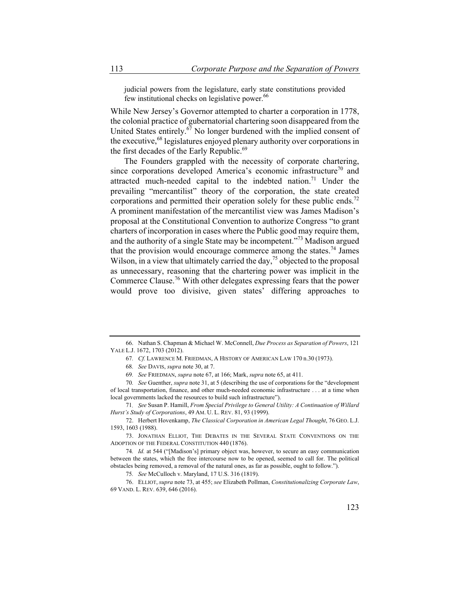judicial powers from the legislature, early state constitutions provided few institutional checks on legislative power.<sup>66</sup>

While New Jersey's Governor attempted to charter a corporation in 1778, the colonial practice of gubernatorial chartering soon disappeared from the United States entirely. $67$  No longer burdened with the implied consent of the executive,<sup>68</sup> legislatures enjoyed plenary authority over corporations in the first decades of the Early Republic.<sup>69</sup>

The Founders grappled with the necessity of corporate chartering, since corporations developed America's economic infrastructure<sup>70</sup> and attracted much-needed capital to the indebted nation.<sup>71</sup> Under the prevailing "mercantilist" theory of the corporation, the state created corporations and permitted their operation solely for these public ends.<sup>72</sup> A prominent manifestation of the mercantilist view was James Madison's proposal at the Constitutional Convention to authorize Congress "to grant charters of incorporation in cases where the Public good may require them, and the authority of a single State may be incompetent."<sup>73</sup> Madison argued that the provision would encourage commerce among the states.<sup>74</sup> James Wilson, in a view that ultimately carried the day,<sup>75</sup> objected to the proposal as unnecessary, reasoning that the chartering power was implicit in the Commerce Clause.76 With other delegates expressing fears that the power would prove too divisive, given states' differing approaches to

<sup>66.</sup> Nathan S. Chapman & Michael W. McConnell, *Due Process as Separation of Powers*, 121 YALE L.J. 1672, 1703 (2012).

<sup>67</sup>*. Cf.* LAWRENCE M. FRIEDMAN, A HISTORY OF AMERICAN LAW 170 n.30 (1973).

<sup>68</sup>*. See* DAVIS, *supra* note 30, at 7.

<sup>69</sup>*. See* FRIEDMAN, *supra* note 67, at 166; Mark, *supra* note 65, at 411.

<sup>70</sup>*. See* Guenther, *supra* note 31, at 5 (describing the use of corporations for the "development of local transportation, finance, and other much-needed economic infrastructure . . . at a time when local governments lacked the resources to build such infrastructure").

<sup>71</sup>*. See* Susan P. Hamill, *From Special Privilege to General Utility: A Continuation of Willard Hurst's Study of Corporations*, 49 AM. U. L. REV. 81, 93 (1999).

<sup>72.</sup> Herbert Hovenkamp, *The Classical Corporation in American Legal Thought*, 76 GEO. L.J. 1593, 1603 (1988).

<sup>73.</sup> JONATHAN ELLIOT, THE DEBATES IN THE SEVERAL STATE CONVENTIONS ON THE ADOPTION OF THE FEDERAL CONSTITUTION 440 (1876).

<sup>74</sup>*. Id.* at 544 ("[Madison's] primary object was, however, to secure an easy communication between the states, which the free intercourse now to be opened, seemed to call for. The political obstacles being removed, a removal of the natural ones, as far as possible, ought to follow.").

<sup>75</sup>*. See* McCulloch v. Maryland, 17 U.S. 316 (1819).

<sup>76.</sup> ELLIOT,*supra* note 73, at 455; *see* Elizabeth Pollman, *Constitutionalizing Corporate Law*, 69 VAND. L. REV. 639, 646 (2016).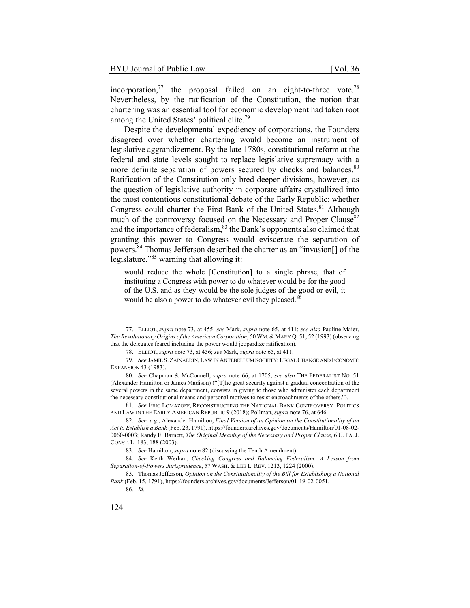incorporation, $^{77}$  the proposal failed on an eight-to-three vote.<sup>78</sup> Nevertheless, by the ratification of the Constitution, the notion that chartering was an essential tool for economic development had taken root among the United States' political elite.<sup>79</sup>

Despite the developmental expediency of corporations, the Founders disagreed over whether chartering would become an instrument of legislative aggrandizement. By the late 1780s, constitutional reform at the federal and state levels sought to replace legislative supremacy with a more definite separation of powers secured by checks and balances.<sup>80</sup> Ratification of the Constitution only bred deeper divisions, however, as the question of legislative authority in corporate affairs crystallized into the most contentious constitutional debate of the Early Republic: whether Congress could charter the First Bank of the United States.<sup>81</sup> Although much of the controversy focused on the Necessary and Proper Clause<sup>82</sup> and the importance of federalism,  $83$  the Bank's opponents also claimed that granting this power to Congress would eviscerate the separation of powers.84 Thomas Jefferson described the charter as an "invasion[] of the legislature,"85 warning that allowing it:

would reduce the whole [Constitution] to a single phrase, that of instituting a Congress with power to do whatever would be for the good of the U.S. and as they would be the sole judges of the good or evil, it would be also a power to do whatever evil they pleased.<sup>86</sup>

<sup>77.</sup> ELLIOT, *supra* note 73, at 455; *see* Mark, *supra* note 65, at 411; *see also* Pauline Maier, *The Revolutionary Origins of the American Corporation*, 50WM.& MARY Q. 51, 52 (1993) (observing that the delegates feared including the power would jeopardize ratification).

<sup>78.</sup> ELLIOT, *supra* note 73, at 456; *see* Mark, *supra* note 65, at 411.

<sup>79</sup>*. See* JAMIL S. ZAINALDIN, LAW IN ANTEBELLUM SOCIETY: LEGAL CHANGE AND ECONOMIC EXPANSION 43 (1983).

<sup>80</sup>*. See* Chapman & McConnell, *supra* note 66, at 1705; *see also* THE FEDERALIST NO. 51 (Alexander Hamilton or James Madison) ("[T]he great security against a gradual concentration of the several powers in the same department, consists in giving to those who administer each department the necessary constitutional means and personal motives to resist encroachments of the others.").

<sup>81</sup>*. See* ERIC LOMAZOFF, RECONSTRUCTING THE NATIONAL BANK CONTROVERSY: POLITICS AND LAW IN THE EARLY AMERICAN REPUBLIC 9 (2018); Pollman, *supra* note 76, at 646.

<sup>82</sup>*. See, e.g.*, Alexander Hamilton, *Final Version of an Opinion on the Constitutionality of an Act to Establish a Bank* (Feb. 23, 1791), https://founders.archives.gov/documents/Hamilton/01-08-02- 0060-0003; Randy E. Barnett, *The Original Meaning of the Necessary and Proper Clause*, 6 U. PA.J. CONST. L. 183, 188 (2003).

<sup>83</sup>*. See* Hamilton, *supra* note 82 (discussing the Tenth Amendment).

<sup>84</sup>*. See* Keith Werhan, *Checking Congress and Balancing Federalism: A Lesson from Separation-of-Powers Jurisprudence*, 57 WASH. & LEE L. REV. 1213, 1224 (2000).

<sup>85.</sup> Thomas Jefferson, *Opinion on the Constitutionality of the Bill for Establishing a National Bank* (Feb. 15, 1791), https://founders.archives.gov/documents/Jefferson/01-19-02-0051.

<sup>86</sup>*. Id.*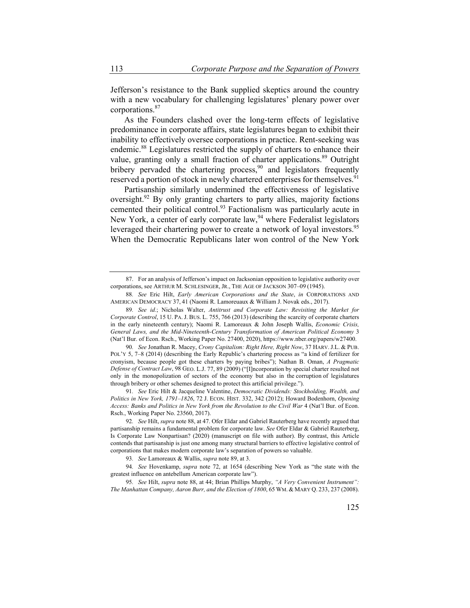Jefferson's resistance to the Bank supplied skeptics around the country with a new vocabulary for challenging legislatures' plenary power over corporations.87

As the Founders clashed over the long-term effects of legislative predominance in corporate affairs, state legislatures began to exhibit their inability to effectively oversee corporations in practice. Rent-seeking was endemic.<sup>88</sup> Legislatures restricted the supply of charters to enhance their value, granting only a small fraction of charter applications.<sup>89</sup> Outright bribery pervaded the chartering process,  $90$  and legislators frequently reserved a portion of stock in newly chartered enterprises for themselves.<sup>91</sup>

Partisanship similarly undermined the effectiveness of legislative oversight.<sup>92</sup> By only granting charters to party allies, majority factions cemented their political control.<sup>93</sup> Factionalism was particularly acute in New York, a center of early corporate law, <sup>94</sup> where Federalist legislators leveraged their chartering power to create a network of loyal investors.<sup>95</sup> When the Democratic Republicans later won control of the New York

90*. See* Jonathan R. Macey, *Crony Capitalism: Right Here, Right Now*, 37 HARV. J.L. & PUB. POL'Y 5, 7–8 (2014) (describing the Early Republic's chartering process as "a kind of fertilizer for cronyism, because people got these charters by paying bribes"); Nathan B. Oman, *A Pragmatic Defense of Contract Law*, 98 GEO. L.J. 77, 89 (2009) ("[I]ncorporation by special charter resulted not only in the monopolization of sectors of the economy but also in the corruption of legislatures through bribery or other schemes designed to protect this artificial privilege.").

91*. See* Eric Hilt & Jacqueline Valentine, *Democratic Dividends: Stockholding, Wealth, and Politics in New York, 1791–1826*, 72 J. ECON. HIST. 332, 342 (2012); Howard Bodenhorn, *Opening Access: Banks and Politics in New York from the Revolution to the Civil War* 4 (Nat'l Bur. of Econ. Rsch., Working Paper No. 23560, 2017).

<sup>87.</sup> For an analysis of Jefferson's impact on Jacksonian opposition to legislative authority over corporations, see ARTHUR M. SCHLESINGER, JR., THE AGE OF JACKSON 307–09 (1945).

<sup>88</sup>*. See* Eric Hilt, *Early American Corporations and the State*, *in* CORPORATIONS AND AMERICAN DEMOCRACY 37, 41 (Naomi R. Lamoreuaux & William J. Novak eds., 2017).

<sup>89</sup>*. See id.*; Nicholas Walter, *Antitrust and Corporate Law: Revisiting the Market for Corporate Control*, 15 U. PA.J. BUS. L. 755, 766 (2013) (describing the scarcity of corporate charters in the early nineteenth century); Naomi R. Lamoreaux & John Joseph Wallis, *Economic Crisis, General Laws, and the Mid-Nineteenth-Century Transformation of American Political Economy* 3 (Nat'l Bur. of Econ. Rsch., Working Paper No. 27400, 2020), https://www.nber.org/papers/w27400.

<sup>92</sup>*. See* Hilt, *supra* note 88, at 47. Ofer Eldar and Gabriel Rauterberg have recently argued that partisanship remains a fundamental problem for corporate law. *See* Ofer Eldar & Gabriel Rauterberg, Is Corporate Law Nonpartisan? (2020) (manuscript on file with author). By contrast, this Article contends that partisanship is just one among many structural barriers to effective legislative control of corporations that makes modern corporate law's separation of powers so valuable.

<sup>93</sup>*. See* Lamoreaux & Wallis, *supra* note 89, at 3.

<sup>94</sup>*. See* Hovenkamp, *supra* note 72, at 1654 (describing New York as "the state with the greatest influence on antebellum American corporate law").

<sup>95</sup>*. See* Hilt, *supra* note 88, at 44; Brian Phillips Murphy, *"A Very Convenient Instrument": The Manhattan Company, Aaron Burr, and the Election of 1800*, 65 WM. & MARY Q. 233, 237 (2008).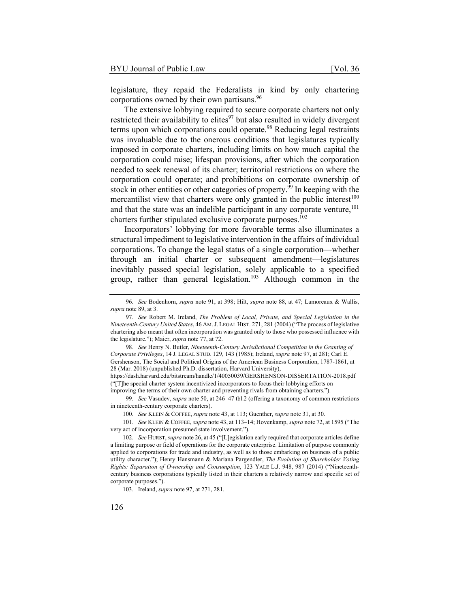legislature, they repaid the Federalists in kind by only chartering corporations owned by their own partisans.<sup>96</sup>

The extensive lobbying required to secure corporate charters not only restricted their availability to elites $97$  but also resulted in widely divergent terms upon which corporations could operate.<sup>98</sup> Reducing legal restraints was invaluable due to the onerous conditions that legislatures typically imposed in corporate charters, including limits on how much capital the corporation could raise; lifespan provisions, after which the corporation needed to seek renewal of its charter; territorial restrictions on where the corporation could operate; and prohibitions on corporate ownership of stock in other entities or other categories of property.<sup>99</sup> In keeping with the mercantilist view that charters were only granted in the public interest<sup>100</sup> and that the state was an indelible participant in any corporate venture,  $101$ charters further stipulated exclusive corporate purposes.<sup>102</sup>

Incorporators' lobbying for more favorable terms also illuminates a structural impediment to legislative intervention in the affairs of individual corporations. To change the legal status of a single corporation—whether through an initial charter or subsequent amendment—legislatures inevitably passed special legislation, solely applicable to a specified group, rather than general legislation.<sup>103</sup> Although common in the

https://dash.harvard.edu/bitstream/handle/1/40050039/GERSHENSON-DISSERTATION-2018.pdf ("[T]he special charter system incentivized incorporators to focus their lobbying efforts on improving the terms of their own charter and preventing rivals from obtaining charters.").

99*. See* Vasudev, *supra* note 50, at 246–47 tbl.2 (offering a taxonomy of common restrictions in nineteenth-century corporate charters).

100*. See* KLEIN & COFFEE, *supra* note 43, at 113; Guenther, *supra* note 31, at 30.

101*. See* KLEIN & COFFEE, *supra* note 43, at 113–14; Hovenkamp, *supra* note 72, at 1595 ("The very act of incorporation presumed state involvement.").

102*. See* HURST, *supra* note 26, at 45 ("[L]egislation early required that corporate articles define a limiting purpose or field of operations for the corporate enterprise. Limitation of purpose commonly applied to corporations for trade and industry, as well as to those embarking on business of a public utility character."); Henry Hansmann & Mariana Pargendler, *The Evolution of Shareholder Voting Rights: Separation of Ownership and Consumption*, 123 YALE L.J. 948, 987 (2014) ("Nineteenthcentury business corporations typically listed in their charters a relatively narrow and specific set of corporate purposes.").

103. Ireland, *supra* note 97, at 271, 281.

<sup>96</sup>*. See* Bodenhorn, *supra* note 91, at 398; Hilt, *supra* note 88, at 47; Lamoreaux & Wallis, *supra* note 89, at 3.

<sup>97</sup>*. See* Robert M. Ireland, *The Problem of Local, Private, and Special Legislation in the Nineteenth-Century United States*, 46 AM.J. LEGAL HIST. 271, 281 (2004) ("The process of legislative chartering also meant that often incorporation was granted only to those who possessed influence with the legislature."); Maier, *supra* note 77, at 72.

<sup>98</sup>*. See* Henry N. Butler, *Nineteenth-Century Jurisdictional Competition in the Granting of Corporate Privileges*, 14 J. LEGAL STUD. 129, 143 (1985); Ireland, *supra* note 97, at 281; Carl E. Gershenson, The Social and Political Origins of the American Business Corporation, 1787-1861, at 28 (Mar. 2018) (unpublished Ph.D. dissertation, Harvard University),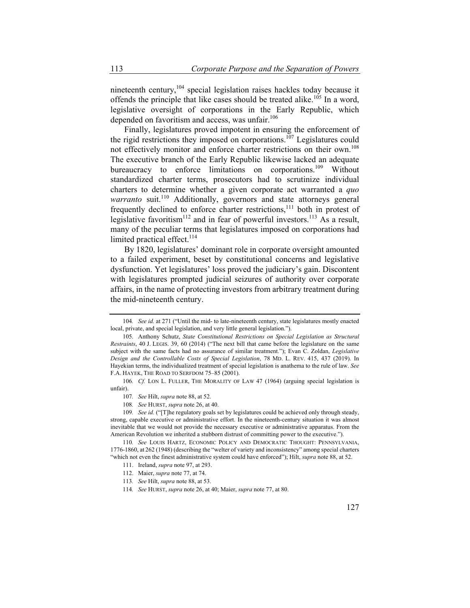nineteenth century,<sup>104</sup> special legislation raises hackles today because it offends the principle that like cases should be treated alike.<sup>105</sup> In a word, legislative oversight of corporations in the Early Republic, which depended on favoritism and access, was unfair.<sup>106</sup>

Finally, legislatures proved impotent in ensuring the enforcement of the rigid restrictions they imposed on corporations.<sup>107</sup> Legislatures could not effectively monitor and enforce charter restrictions on their own.<sup>108</sup> The executive branch of the Early Republic likewise lacked an adequate bureaucracy to enforce limitations on corporations.<sup>109</sup> Without standardized charter terms, prosecutors had to scrutinize individual charters to determine whether a given corporate act warranted a *quo warranto* suit.<sup>110</sup> Additionally, governors and state attorneys general frequently declined to enforce charter restrictions,<sup>111</sup> both in protest of legislative favoritism<sup>112</sup> and in fear of powerful investors.<sup>113</sup> As a result, many of the peculiar terms that legislatures imposed on corporations had limited practical effect.<sup>114</sup>

By 1820, legislatures' dominant role in corporate oversight amounted to a failed experiment, beset by constitutional concerns and legislative dysfunction. Yet legislatures' loss proved the judiciary's gain. Discontent with legislatures prompted judicial seizures of authority over corporate affairs, in the name of protecting investors from arbitrary treatment during the mid-nineteenth century.

<sup>104</sup>*. See id.* at 271 ("Until the mid- to late-nineteenth century, state legislatures mostly enacted local, private, and special legislation, and very little general legislation.").

<sup>105.</sup> Anthony Schutz, *State Constitutional Restrictions on Special Legislation as Structural Restraints*, 40 J. LEGIS. 39, 60 (2014) ("The next bill that came before the legislature on the same subject with the same facts had no assurance of similar treatment."); Evan C. Zoldan, *Legislative Design and the Controllable Costs of Special Legislation*, 78 MD. L. REV. 415, 437 (2019). In Hayekian terms, the individualized treatment of special legislation is anathema to the rule of law. *See* F.A. HAYEK, THE ROAD TO SERFDOM 75–85 (2001).

<sup>106</sup>*. Cf.* LON L. FULLER, THE MORALITY OF LAW 47 (1964) (arguing special legislation is unfair).

<sup>107</sup>*. See* Hilt, *supra* note 88, at 52.

<sup>108</sup>*. See* HURST, *supra* note 26, at 40.

<sup>109</sup>*. See id.* ("[T]he regulatory goals set by legislatures could be achieved only through steady, strong, capable executive or administrative effort. In the nineteenth-century situation it was almost inevitable that we would not provide the necessary executive or administrative apparatus. From the American Revolution we inherited a stubborn distrust of committing power to the executive.").

<sup>110</sup>*. See* LOUIS HARTZ, ECONOMIC POLICY AND DEMOCRATIC THOUGHT: PENNSYLVANIA, 1776-1860, at 262 (1948) (describing the "welter of variety and inconsistency" among special charters "which not even the finest administrative system could have enforced"); Hilt, *supra* note 88, at 52.

<sup>111.</sup> Ireland, *supra* note 97, at 293.

<sup>112.</sup> Maier, *supra* note 77, at 74.

<sup>113</sup>*. See* Hilt, *supra* note 88, at 53.

<sup>114</sup>*. See* HURST, *supra* note 26, at 40; Maier, *supra* note 77, at 80.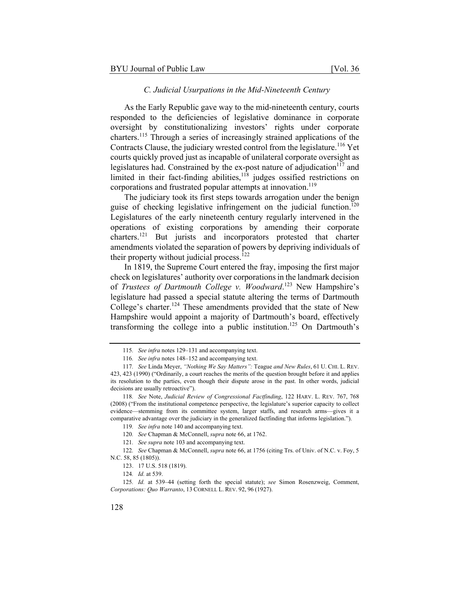#### *C. Judicial Usurpations in the Mid-Nineteenth Century*

As the Early Republic gave way to the mid-nineteenth century, courts responded to the deficiencies of legislative dominance in corporate oversight by constitutionalizing investors' rights under corporate charters.115 Through a series of increasingly strained applications of the Contracts Clause, the judiciary wrested control from the legislature.<sup>116</sup> Yet courts quickly proved just as incapable of unilateral corporate oversight as legislatures had. Constrained by the ex-post nature of adjudication $117$  and limited in their fact-finding abilities, $118$  judges ossified restrictions on corporations and frustrated popular attempts at innovation.<sup>119</sup>

The judiciary took its first steps towards arrogation under the benign guise of checking legislative infringement on the judicial function.<sup>120</sup> Legislatures of the early nineteenth century regularly intervened in the operations of existing corporations by amending their corporate charters.121 But jurists and incorporators protested that charter amendments violated the separation of powers by depriving individuals of their property without judicial process.<sup>122</sup>

In 1819, the Supreme Court entered the fray, imposing the first major check on legislatures' authority over corporations in the landmark decision of *Trustees of Dartmouth College v. Woodward*. 123 New Hampshire's legislature had passed a special statute altering the terms of Dartmouth College's charter.<sup>124</sup> These amendments provided that the state of New Hampshire would appoint a majority of Dartmouth's board, effectively transforming the college into a public institution.<sup>125</sup> On Dartmouth's

<sup>115</sup>*. See infra* notes 129–131 and accompanying text.

<sup>116</sup>*. See infra* notes 148–152 and accompanying text.

<sup>117</sup>*. See* Linda Meyer, *"Nothing We Say Matters":* Teague *and New Rules*, 61 U. CHI. L. REV. 423, 423 (1990) ("Ordinarily, a court reaches the merits of the question brought before it and applies its resolution to the parties, even though their dispute arose in the past. In other words, judicial decisions are usually retroactive").

<sup>118</sup>*. See* Note, *Judicial Review of Congressional Factfinding*, 122 HARV. L. REV. 767, 768 (2008) ("From the institutional competence perspective, the legislature's superior capacity to collect evidence—stemming from its committee system, larger staffs, and research arms—gives it a comparative advantage over the judiciary in the generalized factfinding that informs legislation.").

<sup>119</sup>*. See infra* note 140 and accompanying text.

<sup>120</sup>*. See* Chapman & McConnell, *supra* note 66, at 1762.

<sup>121</sup>*. See supra* note 103 and accompanying text.

<sup>122</sup>*. See* Chapman & McConnell, *supra* note 66, at 1756 (citing Trs. of Univ. of N.C. v. Foy, 5 N.C. 58, 85 (1805)).

<sup>123. 17</sup> U.S. 518 (1819).

<sup>124</sup>*. Id.* at 539.

<sup>125</sup>*. Id.* at 539–44 (setting forth the special statute); *see* Simon Rosenzweig, Comment, *Corporations: Quo Warranto*, 13 CORNELL L. REV. 92, 96 (1927).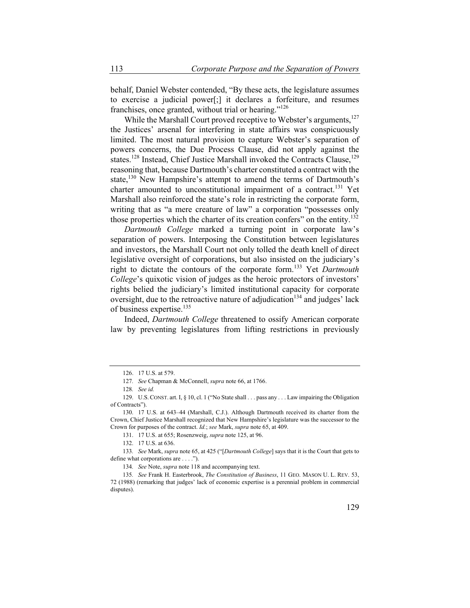behalf, Daniel Webster contended, "By these acts, the legislature assumes to exercise a judicial power[;] it declares a forfeiture, and resumes franchises, once granted, without trial or hearing."<sup>126</sup>

While the Marshall Court proved receptive to Webster's arguments, $127$ the Justices' arsenal for interfering in state affairs was conspicuously limited. The most natural provision to capture Webster's separation of powers concerns, the Due Process Clause, did not apply against the states.<sup>128</sup> Instead, Chief Justice Marshall invoked the Contracts Clause,<sup>129</sup> reasoning that, because Dartmouth's charter constituted a contract with the state,<sup>130</sup> New Hampshire's attempt to amend the terms of Dartmouth's charter amounted to unconstitutional impairment of a contract.<sup>131</sup> Yet Marshall also reinforced the state's role in restricting the corporate form, writing that as "a mere creature of law" a corporation "possesses only those properties which the charter of its creation confers" on the entity.<sup>132</sup>

*Dartmouth College* marked a turning point in corporate law's separation of powers. Interposing the Constitution between legislatures and investors, the Marshall Court not only tolled the death knell of direct legislative oversight of corporations, but also insisted on the judiciary's right to dictate the contours of the corporate form.133 Yet *Dartmouth College*'s quixotic vision of judges as the heroic protectors of investors' rights belied the judiciary's limited institutional capacity for corporate oversight, due to the retroactive nature of adjudication<sup>134</sup> and judges' lack of business expertise.<sup>135</sup>

Indeed, *Dartmouth College* threatened to ossify American corporate law by preventing legislatures from lifting restrictions in previously

<sup>126. 17</sup> U.S. at 579.

<sup>127</sup>*. See* Chapman & McConnell, *supra* note 66, at 1766.

<sup>128</sup>*. See id.*

<sup>129.</sup> U.S.CONST. art. I, § 10, cl. 1 ("No State shall . . . pass any . . . Law impairing the Obligation of Contracts").

<sup>130.</sup> 17 U.S. at 643–44 (Marshall, C.J.). Although Dartmouth received its charter from the Crown, Chief Justice Marshall recognized that New Hampshire's legislature was the successor to the Crown for purposes of the contract. *Id.*; *see* Mark, *supra* note 65, at 409.

<sup>131. 17</sup> U.S. at 655; Rosenzweig, *supra* note 125, at 96.

<sup>132. 17</sup> U.S. at 636.

<sup>133</sup>*. See* Mark, *supra* note 65, at 425 ("[*Dartmouth College*] says that it is the Court that gets to define what corporations are . . . .").

<sup>134</sup>*. See* Note, *supra* note 118 and accompanying text.

<sup>135</sup>*. See* Frank H. Easterbrook, *The Constitution of Business*, 11 GEO. MASON U. L. REV. 53, 72 (1988) (remarking that judges' lack of economic expertise is a perennial problem in commercial disputes).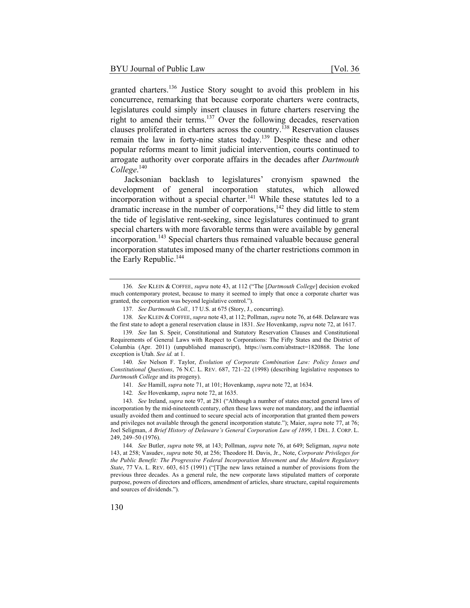granted charters.<sup>136</sup> Justice Story sought to avoid this problem in his concurrence, remarking that because corporate charters were contracts, legislatures could simply insert clauses in future charters reserving the right to amend their terms.<sup>137</sup> Over the following decades, reservation clauses proliferated in charters across the country.<sup>138</sup> Reservation clauses remain the law in forty-nine states today.<sup>139</sup> Despite these and other popular reforms meant to limit judicial intervention, courts continued to arrogate authority over corporate affairs in the decades after *Dartmouth College*. 140

Jacksonian backlash to legislatures' cronyism spawned the development of general incorporation statutes, which allowed incorporation without a special charter.<sup>141</sup> While these statutes led to a dramatic increase in the number of corporations, $142$  they did little to stem the tide of legislative rent-seeking, since legislatures continued to grant special charters with more favorable terms than were available by general incorporation.<sup>143</sup> Special charters thus remained valuable because general incorporation statutes imposed many of the charter restrictions common in the Early Republic.<sup>144</sup>

138*. See* KLEIN & COFFEE, *supra* note 43, at 112; Pollman, *supra* note 76, at 648. Delaware was the first state to adopt a general reservation clause in 1831. *See* Hovenkamp, *supra* note 72, at 1617.

140*. See* Nelson F. Taylor, *Evolution of Corporate Combination Law: Policy Issues and Constitutional Questions*, 76 N.C. L. REV. 687, 721–22 (1998) (describing legislative responses to *Dartmouth College* and its progeny).

141*. See* Hamill, *supra* note 71, at 101; Hovenkamp, *supra* note 72, at 1634.

142*. See* Hovenkamp, *supra* note 72, at 1635.

144*. See* Butler, *supra* note 98, at 143; Pollman, *supra* note 76, at 649; Seligman, *supra* note 143, at 258; Vasudev, *supra* note 50, at 256; Theodore H. Davis, Jr., Note, *Corporate Privileges for the Public Benefit: The Progressive Federal Incorporation Movement and the Modern Regulatory State*, 77 VA. L. REV. 603, 615 (1991) ("[T]he new laws retained a number of provisions from the previous three decades. As a general rule, the new corporate laws stipulated matters of corporate purpose, powers of directors and officers, amendment of articles, share structure, capital requirements and sources of dividends.").

<sup>136</sup>*. See* KLEIN & COFFEE, *supra* note 43, at 112 ("The [*Dartmouth College*] decision evoked much contemporary protest, because to many it seemed to imply that once a corporate charter was granted, the corporation was beyond legislative control.").

<sup>137</sup>*. See Dartmouth Coll.,* 17 U.S. at 675 (Story, J., concurring).

<sup>139</sup>*. See* Ian S. Speir, Constitutional and Statutory Reservation Clauses and Constitutional Requirements of General Laws with Respect to Corporations: The Fifty States and the District of Columbia (Apr. 2011) (unpublished manuscript), https://ssrn.com/abstract=1820868. The lone exception is Utah. *See id.* at 1.

<sup>143</sup>*. See* Ireland, *supra* note 97, at 281 ("Although a number of states enacted general laws of incorporation by the mid-nineteenth century, often these laws were not mandatory, and the influential usually avoided them and continued to secure special acts of incorporation that granted them powers and privileges not available through the general incorporation statute."); Maier, *supra* note 77, at 76; Joel Seligman, *A Brief History of Delaware's General Corporation Law of 1899*, 1 DEL. J. CORP. L. 249, 249–50 (1976).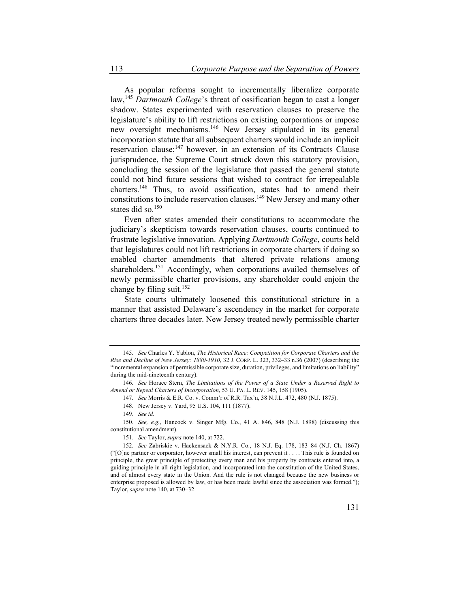As popular reforms sought to incrementally liberalize corporate law,<sup>145</sup> *Dartmouth College*'s threat of ossification began to cast a longer shadow. States experimented with reservation clauses to preserve the legislature's ability to lift restrictions on existing corporations or impose new oversight mechanisms.146 New Jersey stipulated in its general incorporation statute that all subsequent charters would include an implicit reservation clause; $147$  however, in an extension of its Contracts Clause jurisprudence, the Supreme Court struck down this statutory provision, concluding the session of the legislature that passed the general statute could not bind future sessions that wished to contract for irrepealable charters.<sup>148</sup> Thus, to avoid ossification, states had to amend their constitutions to include reservation clauses.149 New Jersey and many other states did so.<sup>150</sup>

Even after states amended their constitutions to accommodate the judiciary's skepticism towards reservation clauses, courts continued to frustrate legislative innovation. Applying *Dartmouth College*, courts held that legislatures could not lift restrictions in corporate charters if doing so enabled charter amendments that altered private relations among shareholders.<sup>151</sup> Accordingly, when corporations availed themselves of newly permissible charter provisions, any shareholder could enjoin the change by filing suit.<sup>152</sup>

State courts ultimately loosened this constitutional stricture in a manner that assisted Delaware's ascendency in the market for corporate charters three decades later. New Jersey treated newly permissible charter

147*. See* Morris & E.R. Co. v. Comm'r of R.R. Tax'n, 38 N.J.L. 472, 480 (N.J. 1875).

<sup>145</sup>*. See* Charles Y. Yablon, *The Historical Race: Competition for Corporate Charters and the Rise and Decline of New Jersey: 1880-1910*, 32 J. CORP. L. 323, 332–33 n.36 (2007) (describing the "incremental expansion of permissible corporate size, duration, privileges, and limitations on liability" during the mid-nineteenth century).

<sup>146</sup>*. See* Horace Stern, *The Limitations of the Power of a State Under a Reserved Right to Amend or Repeal Charters of Incorporation*, 53 U. PA. L. REV. 145, 158 (1905).

<sup>148.</sup> New Jersey v. Yard, 95 U.S. 104, 111 (1877).

<sup>149</sup>*. See id.*

<sup>150</sup>*. See, e.g.*, Hancock v. Singer Mfg. Co., 41 A. 846, 848 (N.J. 1898) (discussing this constitutional amendment).

<sup>151</sup>*. See* Taylor, *supra* note 140, at 722.

<sup>152</sup>*. See* Zabriskie v. Hackensack & N.Y.R. Co., 18 N.J. Eq. 178, 183–84 (N.J. Ch. 1867) ("[O]ne partner or corporator, however small his interest, can prevent it . . . . This rule is founded on principle, the great principle of protecting every man and his property by contracts entered into, a guiding principle in all right legislation, and incorporated into the constitution of the United States, and of almost every state in the Union. And the rule is not changed because the new business or enterprise proposed is allowed by law, or has been made lawful since the association was formed."); Taylor, *supra* note 140, at 730–32.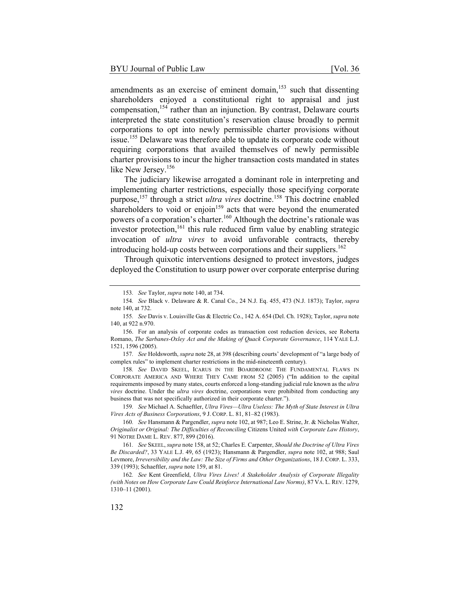amendments as an exercise of eminent domain, $153$  such that dissenting shareholders enjoyed a constitutional right to appraisal and just compensation,<sup>154</sup> rather than an injunction. By contrast, Delaware courts interpreted the state constitution's reservation clause broadly to permit corporations to opt into newly permissible charter provisions without issue.155 Delaware was therefore able to update its corporate code without requiring corporations that availed themselves of newly permissible charter provisions to incur the higher transaction costs mandated in states like New Jersey.<sup>156</sup>

The judiciary likewise arrogated a dominant role in interpreting and implementing charter restrictions, especially those specifying corporate purpose,157 through a strict *ultra vires* doctrine.158 This doctrine enabled shareholders to void or enjoin $159$  acts that were beyond the enumerated powers of a corporation's charter.<sup>160</sup> Although the doctrine's rationale was investor protection,<sup>161</sup> this rule reduced firm value by enabling strategic invocation of *ultra vires* to avoid unfavorable contracts, thereby introducing hold-up costs between corporations and their suppliers.<sup>162</sup>

Through quixotic interventions designed to protect investors, judges deployed the Constitution to usurp power over corporate enterprise during

159*. See* Michael A. Schaeftler, *Ultra Vires—Ultra Useless: The Myth of State Interest in Ultra Vires Acts of Business Corporations*, 9 J. CORP. L. 81, 81–82 (1983).

160*. See* Hansmann & Pargendler, *supra* note 102, at 987; Leo E. Strine, Jr. & Nicholas Walter, *Originalist or Original: The Difficulties of Reconciling* Citizens United *with Corporate Law History*, 91 NOTRE DAME L. REV. 877, 899 (2016).

161*. See* SKEEL, *supra* note 158, at 52; Charles E. Carpenter, *Should the Doctrine of Ultra Vires Be Discarded?*, 33 YALE L.J. 49, 65 (1923); Hansmann & Pargendler, *supra* note 102, at 988; Saul Levmore, *Irreversibility and the Law: The Size of Firms and Other Organizations*, 18 J. CORP. L. 333, 339 (1993); Schaeftler, *supra* note 159, at 81.

162*. See* Kent Greenfield, *Ultra Vires Lives! A Stakeholder Analysis of Corporate Illegality (with Notes on How Corporate Law Could Reinforce International Law Norms)*, 87 VA. L. REV. 1279, 1310–11 (2001).

<sup>153</sup>*. See* Taylor, *supra* note 140, at 734.

<sup>154</sup>*. See* Black v. Delaware & R. Canal Co., 24 N.J. Eq. 455, 473 (N.J. 1873); Taylor, *supra* note 140, at 732.

<sup>155</sup>*. See* Davis v. Louisville Gas & Electric Co., 142 A. 654 (Del. Ch. 1928); Taylor, *supra* note 140, at 922 n.970.

<sup>156.</sup> For an analysis of corporate codes as transaction cost reduction devices, see Roberta Romano, *The Sarbanes-Oxley Act and the Making of Quack Corporate Governance*, 114 YALE L.J. 1521, 1596 (2005).

<sup>157</sup>*. See* Holdsworth, *supra* note 28, at 398 (describing courts' development of "a large body of complex rules" to implement charter restrictions in the mid-nineteenth century).

<sup>158</sup>*. See* DAVID SKEEL, ICARUS IN THE BOARDROOM: THE FUNDAMENTAL FLAWS IN CORPORATE AMERICA AND WHERE THEY CAME FROM 52 (2005) ("In addition to the capital requirements imposed by many states, courts enforced a long-standing judicial rule known as the *ultra vires* doctrine. Under the *ultra vires* doctrine, corporations were prohibited from conducting any business that was not specifically authorized in their corporate charter.").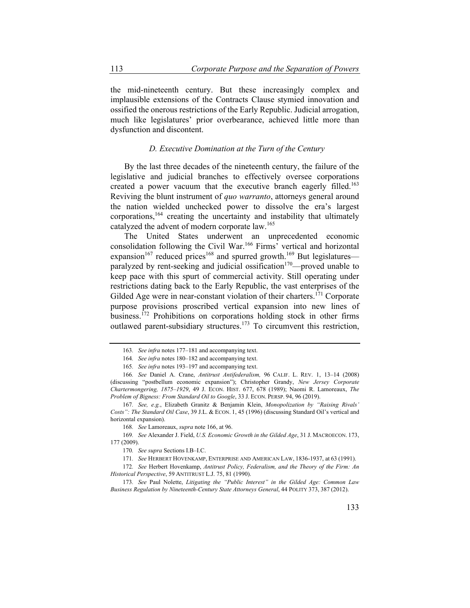the mid-nineteenth century. But these increasingly complex and implausible extensions of the Contracts Clause stymied innovation and ossified the onerous restrictions of the Early Republic. Judicial arrogation, much like legislatures' prior overbearance, achieved little more than dysfunction and discontent.

# *D. Executive Domination at the Turn of the Century*

By the last three decades of the nineteenth century, the failure of the legislative and judicial branches to effectively oversee corporations created a power vacuum that the executive branch eagerly filled.<sup>163</sup> Reviving the blunt instrument of *quo warranto*, attorneys general around the nation wielded unchecked power to dissolve the era's largest corporations,<sup>164</sup> creating the uncertainty and instability that ultimately catalyzed the advent of modern corporate law.<sup>165</sup>

The United States underwent an unprecedented economic consolidation following the Civil War.166 Firms' vertical and horizontal expansion<sup>167</sup> reduced prices<sup>168</sup> and spurred growth.<sup>169</sup> But legislatures paralyzed by rent-seeking and judicial ossification<sup>170</sup>—proved unable to keep pace with this spurt of commercial activity. Still operating under restrictions dating back to the Early Republic, the vast enterprises of the Gilded Age were in near-constant violation of their charters.<sup>171</sup> Corporate purpose provisions proscribed vertical expansion into new lines of business.<sup>172</sup> Prohibitions on corporations holding stock in other firms outlawed parent-subsidiary structures.<sup>173</sup> To circumvent this restriction,

168*. See* Lamoreaux, *supra* note 166, at 96.

<sup>163</sup>*. See infra* notes 177–181 and accompanying text.

<sup>164</sup>*. See infra* notes 180–182 and accompanying text.

<sup>165</sup>*. See infra* notes 193–197 and accompanying text.

<sup>166</sup>*. See* Daniel A. Crane, *Antitrust Antifederalism,* 96 CALIF. L. REV. 1, 13–14 (2008) (discussing "postbellum economic expansion"); Christopher Grandy, *New Jersey Corporate Chartermongering, 1875–1929*, 49 J. ECON. HIST. 677, 678 (1989); Naomi R. Lamoreaux, *The Problem of Bigness: From Standard Oil to Google*, 33 J. ECON. PERSP. 94, 96 (2019).

<sup>167</sup>*. See, e.g.*, Elizabeth Granitz & Benjamin Klein, *Monopolization by "Raising Rivals' Costs": The Standard Oil Case*, 39 J.L. & ECON. 1, 45 (1996) (discussing Standard Oil's vertical and horizontal expansion).

<sup>169</sup>*. See* Alexander J. Field, *U.S. Economic Growth in the Gilded Age*, 31 J. MACROECON. 173, 177 (2009).

<sup>170</sup>*. See supra* Sections I.B–I.C.

<sup>171</sup>*. See* HERBERT HOVENKAMP, ENTERPRISE AND AMERICAN LAW, 1836-1937, at 63 (1991).

<sup>172</sup>*. See* Herbert Hovenkamp, *Antitrust Policy, Federalism, and the Theory of the Firm: An Historical Perspective*, 59 ANTITRUST L.J. 75, 81 (1990).

<sup>173</sup>*. See* Paul Nolette, *Litigating the "Public Interest" in the Gilded Age: Common Law Business Regulation by Nineteenth-Century State Attorneys General*, 44 POLITY 373, 387 (2012).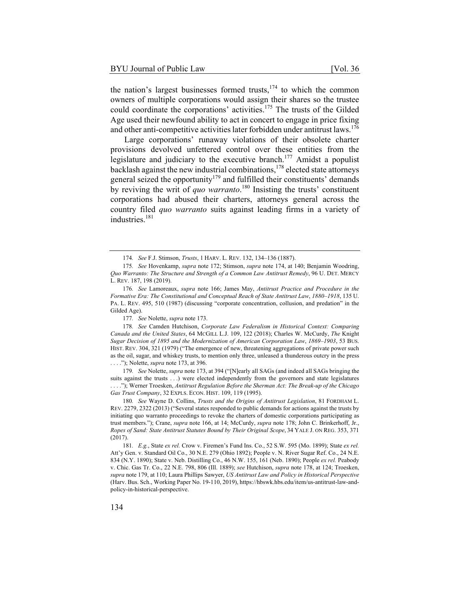the nation's largest businesses formed trusts, $174$  to which the common owners of multiple corporations would assign their shares so the trustee could coordinate the corporations' activities.<sup>175</sup> The trusts of the Gilded Age used their newfound ability to act in concert to engage in price fixing and other anti-competitive activities later forbidden under antitrust laws.<sup>176</sup>

Large corporations' runaway violations of their obsolete charter provisions devolved unfettered control over these entities from the legislature and judiciary to the executive branch.<sup>177</sup> Amidst a populist backlash against the new industrial combinations,  $178$  elected state attorneys general seized the opportunity<sup>179</sup> and fulfilled their constituents' demands by reviving the writ of *quo warranto*. 180 Insisting the trusts' constituent corporations had abused their charters, attorneys general across the country filed *quo warranto* suits against leading firms in a variety of industries.<sup>181</sup>

177*. See* Nolette, *supra* note 173.

179*. See* Nolette, *supra* note 173, at 394 ("[N]early all SAGs (and indeed all SAGs bringing the suits against the trusts . . .) were elected independently from the governors and state legislatures . . . ."); Werner Troesken, *Antitrust Regulation Before the Sherman Act: The Break-up of the Chicago Gas Trust Company*, 32 EXPLS. ECON. HIST. 109, 119 (1995).

180*. See* Wayne D. Collins, *Trusts and the Origins of Antitrust Legislation*, 81 FORDHAM L. REV. 2279, 2322 (2013) ("Several states responded to public demands for actions against the trusts by initiating quo warranto proceedings to revoke the charters of domestic corporations participating as trust members."); Crane, *supra* note 166, at 14; McCurdy, *supra* note 178; John C. Brinkerhoff, Jr., *Ropes of Sand: State Antitrust Statutes Bound by Their Original Scope*, 34 YALE J. ON REG. 353, 371 (2017).

181*. E.g.*, State *ex rel.* Crow v. Firemen's Fund Ins. Co., 52 S.W. 595 (Mo. 1899); State *ex rel.* Att'y Gen. v. Standard Oil Co., 30 N.E. 279 (Ohio 1892); People v. N. River Sugar Ref. Co., 24 N.E. 834 (N.Y. 1890); State v. Neb. Distilling Co., 46 N.W. 155, 161 (Neb. 1890); People *ex rel.* Peabody v. Chic. Gas Tr. Co., 22 N.E. 798, 806 (Ill. 1889); *see* Hutchison, *supra* note 178, at 124; Troesken, *supra* note 179, at 110; Laura Phillips Sawyer, *US Antitrust Law and Policy in Historical Perspective* (Harv. Bus. Sch., Working Paper No. 19-110, 2019), https://hbswk.hbs.edu/item/us-antitrust-law-andpolicy-in-historical-perspective.

<sup>174</sup>*. See* F.J. Stimson, *Trusts*, 1 HARV. L. REV. 132, 134–136 (1887).

<sup>175</sup>*. See* Hovenkamp, *supra* note 172; Stimson, *supra* note 174, at 140; Benjamin Woodring, *Quo Warranto: The Structure and Strength of a Common Law Antitrust Remedy*, 96 U. DET. MERCY L. REV. 187, 198 (2019).

<sup>176</sup>*. See* Lamoreaux, *supra* note 166; James May, *Antitrust Practice and Procedure in the Formative Era: The Constitutional and Conceptual Reach of State Antitrust Law*, *1880–1918*, 135 U. PA. L. REV. 495, 510 (1987) (discussing "corporate concentration, collusion, and predation" in the Gilded Age).

<sup>178</sup>*. See* Camden Hutchison, *Corporate Law Federalism in Historical Context: Comparing Canada and the United States*, 64 MCGILL L.J. 109, 122 (2018); Charles W. McCurdy, *The* Knight *Sugar Decision of 1895 and the Modernization of American Corporation Law*, *1869–1903*, 53 BUS. HIST. REV. 304, 321 (1979) ("The emergence of new, threatening aggregations of private power such as the oil, sugar, and whiskey trusts, to mention only three, unleased a thunderous outcry in the press . . . ."); Nolette, *supra* note 173, at 396.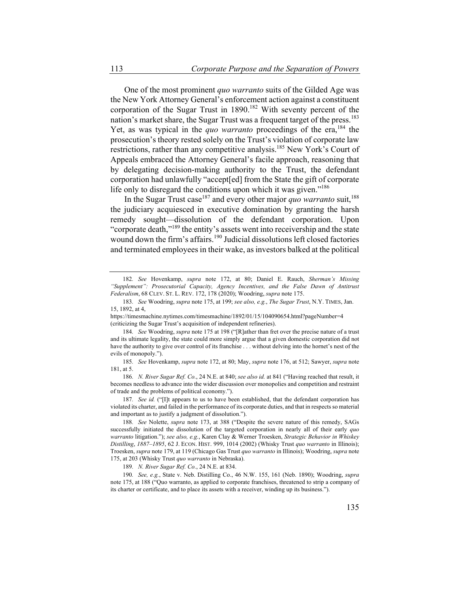One of the most prominent *quo warranto* suits of the Gilded Age was the New York Attorney General's enforcement action against a constituent corporation of the Sugar Trust in  $1890$ .<sup>182</sup> With seventy percent of the nation's market share, the Sugar Trust was a frequent target of the press.<sup>183</sup> Yet, as was typical in the *quo warranto* proceedings of the era,<sup>184</sup> the prosecution's theory rested solely on the Trust's violation of corporate law restrictions, rather than any competitive analysis.<sup>185</sup> New York's Court of Appeals embraced the Attorney General's facile approach, reasoning that by delegating decision-making authority to the Trust, the defendant corporation had unlawfully "accept[ed] from the State the gift of corporate life only to disregard the conditions upon which it was given."<sup>186</sup>

In the Sugar Trust case<sup>187</sup> and every other major *quo warranto* suit,<sup>188</sup> the judiciary acquiesced in executive domination by granting the harsh remedy sought—dissolution of the defendant corporation. Upon "corporate death,"<sup>189</sup> the entity's assets went into receivership and the state wound down the firm's affairs.<sup>190</sup> Judicial dissolutions left closed factories and terminated employees in their wake, as investors balked at the political

<sup>182</sup>*. See* Hovenkamp, *supra* note 172, at 80; Daniel E. Rauch, *Sherman's Missing "Supplement": Prosecutorial Capacity, Agency Incentives, and the False Dawn of Antitrust Federalism*, 68 CLEV. ST. L. REV. 172, 178 (2020); Woodring, *supra* note 175.

<sup>183</sup>*. See* Woodring, *supra* note 175, at 199; *see also, e.g.*, *The Sugar Trust*, N.Y. TIMES, Jan. 15, 1892, at 4,

https://timesmachine.nytimes.com/timesmachine/1892/01/15/104090654.html?pageNumber=4 (criticizing the Sugar Trust's acquisition of independent refineries).

<sup>184</sup>*. See* Woodring, *supra* note 175 at 198 ("[R]ather than fret over the precise nature of a trust and its ultimate legality, the state could more simply argue that a given domestic corporation did not have the authority to give over control of its franchise . . . without delving into the hornet's nest of the evils of monopoly.").

<sup>185</sup>*. See* Hovenkamp, *supra* note 172, at 80; May, *supra* note 176, at 512; Sawyer, *supra* note 181, at 5.

<sup>186</sup>*. N. River Sugar Ref. Co.*, 24 N.E. at 840; *see also id.* at 841 ("Having reached that result, it becomes needless to advance into the wider discussion over monopolies and competition and restraint of trade and the problems of political economy.").

<sup>187</sup>*. See id.* ("[I]t appears to us to have been established, that the defendant corporation has violated its charter, and failed in the performance of its corporate duties, and that in respects so material and important as to justify a judgment of dissolution.").

<sup>188</sup>*. See* Nolette, *supra* note 173, at 388 ("Despite the severe nature of this remedy, SAGs successfully initiated the dissolution of the targeted corporation in nearly all of their early *quo warranto* litigation."); *see also, e.g.*, Karen Clay & Werner Troesken, *Strategic Behavior in Whiskey Distilling*, *1887–1895*, 62 J. ECON. HIST. 999, 1014 (2002) (Whisky Trust *quo warranto* in Illinois); Troesken, *supra* note 179, at 119 (Chicago Gas Trust *quo warranto* in Illinois); Woodring, *supra* note 175, at 203 (Whisky Trust *quo warranto* in Nebraska).

<sup>189</sup>*. N. River Sugar Ref. Co.*, 24 N.E. at 834.

<sup>190</sup>*. See, e.g.*, State v. Neb. Distilling Co., 46 N.W. 155, 161 (Neb. 1890); Woodring, *supra* note 175, at 188 ("Quo warranto, as applied to corporate franchises, threatened to strip a company of its charter or certificate, and to place its assets with a receiver, winding up its business.").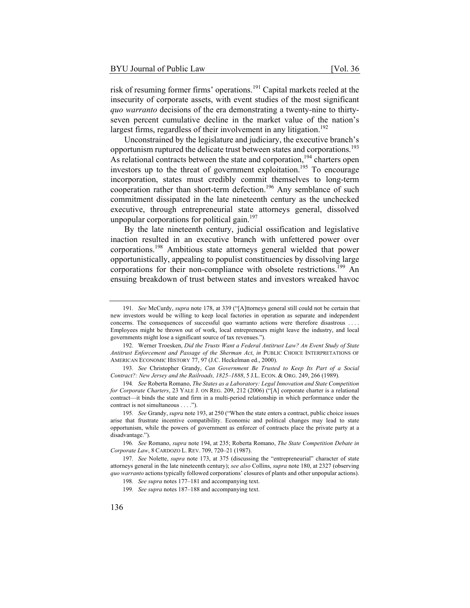risk of resuming former firms' operations.<sup>191</sup> Capital markets reeled at the insecurity of corporate assets, with event studies of the most significant *quo warranto* decisions of the era demonstrating a twenty-nine to thirtyseven percent cumulative decline in the market value of the nation's largest firms, regardless of their involvement in any litigation.<sup>192</sup>

Unconstrained by the legislature and judiciary, the executive branch's opportunism ruptured the delicate trust between states and corporations.<sup>193</sup> As relational contracts between the state and corporation,<sup>194</sup> charters open investors up to the threat of government exploitation.<sup>195</sup> To encourage incorporation, states must credibly commit themselves to long-term cooperation rather than short-term defection.<sup>196</sup> Any semblance of such commitment dissipated in the late nineteenth century as the unchecked executive, through entrepreneurial state attorneys general, dissolved unpopular corporations for political gain.<sup>197</sup>

By the late nineteenth century, judicial ossification and legislative inaction resulted in an executive branch with unfettered power over corporations.198 Ambitious state attorneys general wielded that power opportunistically, appealing to populist constituencies by dissolving large corporations for their non-compliance with obsolete restrictions.<sup>199</sup> An ensuing breakdown of trust between states and investors wreaked havoc

192. Werner Troesken, *Did the Trusts Want a Federal Antitrust Law? An Event Study of State Antitrust Enforcement and Passage of the Sherman Act*, *in* PUBLIC CHOICE INTERPRETATIONS OF AMERICAN ECONOMIC HISTORY 77, 97 (J.C. Heckelman ed., 2000).

<sup>191</sup>*. See* McCurdy, *supra* note 178, at 339 ("[A]ttorneys general still could not be certain that new investors would be willing to keep local factories in operation as separate and independent concerns. The consequences of successful quo warranto actions were therefore disastrous . . . . Employees might be thrown out of work, local entrepreneurs might leave the industry, and local governments might lose a significant source of tax revenues.").

<sup>193</sup>*. See* Christopher Grandy, *Can Government Be Trusted to Keep Its Part of a Social Contract?: New Jersey and the Railroads, 1825–1888*, 5 J.L. ECON. & ORG. 249, 266 (1989).

<sup>194</sup>*. See* Roberta Romano, *The States as a Laboratory: Legal Innovation and State Competition for Corporate Charters*, 23 YALE J. ON REG. 209, 212 (2006) ("[A] corporate charter is a relational contract—it binds the state and firm in a multi-period relationship in which performance under the contract is not simultaneous . . . .").

<sup>195</sup>*. See* Grandy, *supra* note 193, at 250 ("When the state enters a contract, public choice issues arise that frustrate incentive compatibility. Economic and political changes may lead to state opportunism, while the powers of government as enforcer of contracts place the private party at a disadvantage.").

<sup>196</sup>*. See* Romano, *supra* note 194, at 235; Roberta Romano, *The State Competition Debate in Corporate Law*, 8 CARDOZO L. REV. 709, 720–21 (1987).

<sup>197</sup>*. See* Nolette, *supra* note 173, at 375 (discussing the "entrepreneurial" character of state attorneys general in the late nineteenth century); *see also* Collins, *supra* note 180, at 2327 (observing *quo warranto* actions typically followed corporations' closures of plants and other unpopular actions).

<sup>198</sup>*. See supra* notes 177–181 and accompanying text.

<sup>199</sup>*. See supra* notes 187–188 and accompanying text.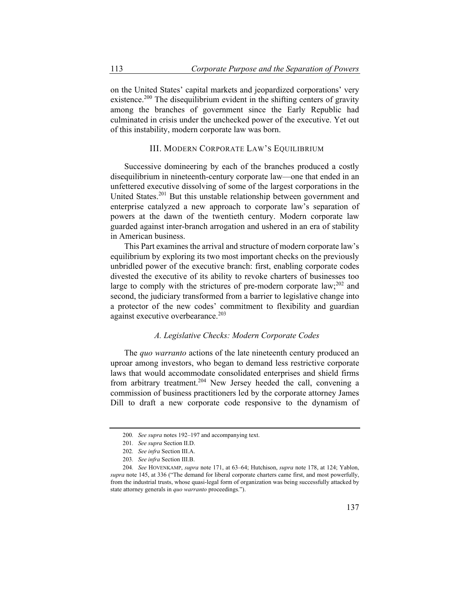on the United States' capital markets and jeopardized corporations' very existence.<sup>200</sup> The disequilibrium evident in the shifting centers of gravity among the branches of government since the Early Republic had culminated in crisis under the unchecked power of the executive. Yet out of this instability, modern corporate law was born.

# III. MODERN CORPORATE LAW'S EQUILIBRIUM

Successive domineering by each of the branches produced a costly disequilibrium in nineteenth-century corporate law—one that ended in an unfettered executive dissolving of some of the largest corporations in the United States.<sup>201</sup> But this unstable relationship between government and enterprise catalyzed a new approach to corporate law's separation of powers at the dawn of the twentieth century. Modern corporate law guarded against inter-branch arrogation and ushered in an era of stability in American business.

This Part examines the arrival and structure of modern corporate law's equilibrium by exploring its two most important checks on the previously unbridled power of the executive branch: first, enabling corporate codes divested the executive of its ability to revoke charters of businesses too large to comply with the strictures of pre-modern corporate law;<sup>202</sup> and second, the judiciary transformed from a barrier to legislative change into a protector of the new codes' commitment to flexibility and guardian against executive overbearance.<sup>203</sup>

## *A. Legislative Checks: Modern Corporate Codes*

The *quo warranto* actions of the late nineteenth century produced an uproar among investors, who began to demand less restrictive corporate laws that would accommodate consolidated enterprises and shield firms from arbitrary treatment.<sup>204</sup> New Jersey heeded the call, convening a commission of business practitioners led by the corporate attorney James Dill to draft a new corporate code responsive to the dynamism of

<sup>200</sup>*. See supra* notes 192–197 and accompanying text.

<sup>201</sup>*. See supra* Section II.D.

<sup>202</sup>*. See infra* Section III.A.

<sup>203</sup>*. See infra* Section III.B.

<sup>204</sup>*. See* HOVENKAMP, *supra* note 171, at 63–64; Hutchison, *supra* note 178, at 124; Yablon, *supra* note 145, at 336 ("The demand for liberal corporate charters came first, and most powerfully, from the industrial trusts, whose quasi-legal form of organization was being successfully attacked by state attorney generals in *quo warranto* proceedings.").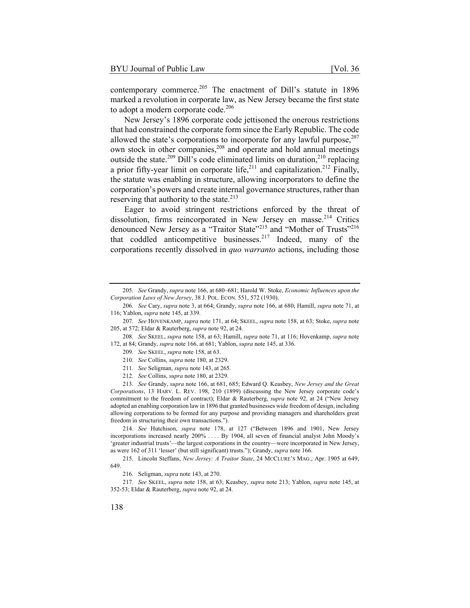contemporary commerce.<sup>205</sup> The enactment of Dill's statute in 1896 marked a revolution in corporate law, as New Jersey became the first state to adopt a modern corporate code.<sup>206</sup>

New Jersey's 1896 corporate code jettisoned the onerous restrictions that had constrained the corporate form since the Early Republic. The code allowed the state's corporations to incorporate for any lawful purpose, $207$ own stock in other companies,<sup>208</sup> and operate and hold annual meetings outside the state.<sup>209</sup> Dill's code eliminated limits on duration,<sup>210</sup> replacing a prior fifty-year limit on corporate life,<sup>211</sup> and capitalization.<sup>212</sup> Finally, the statute was enabling in structure, allowing incorporators to define the corporation's powers and create internal governance structures, rather than reserving that authority to the state. $213$ 

Eager to avoid stringent restrictions enforced by the threat of dissolution, firms reincorporated in New Jersey en masse.<sup>214</sup> Critics denounced New Jersey as a "Traitor State"<sup>215</sup> and "Mother of Trusts"<sup>216</sup> that coddled anticompetitive businesses.<sup>217</sup> Indeed, many of the corporations recently dissolved in *quo warranto* actions, including those

208*. See* SKEEL, *supra* note 158, at 63; Hamill, *supra* note 71, at 116; Hovenkamp, *supra* note 172, at 84; Grandy, *supra* note 166, at 681; Yablon, *supra* note 145, at 336.

- 209*. See* SKEEL, *supra* note 158, at 63.
- 210*. See* Collins, *supra* note 180, at 2329.
- 211*. See* Seligman, *supra* note 143, at 265.
- 212*. See* Collins, *supra* note 180, at 2329.

213*. See* Grandy, *supra* note 166, at 681, 685; Edward Q. Keasbey, *New Jersey and the Great Corporations*, 13 HARV. L. REV. 198, 210 (1899) (discussing the New Jersey corporate code's commitment to the freedom of contract); Eldar & Rauterberg, *supra* note 92, at 24 ("New Jersey adopted an enabling corporation law in 1896 that granted businesses wide freedom of design, including allowing corporations to be formed for any purpose and providing managers and shareholders great freedom in structuring their own transactions.").

214*. See* Hutchison, *supra* note 178, at 127 ("Between 1896 and 1901, New Jersey incorporations increased nearly 200% . . . . By 1904, all seven of financial analyst John Moody's 'greater industrial trusts'—the largest corporations in the country—were incorporated in New Jersey, as were 162 of 311 'lesser' (but still significant) trusts."); Grandy, *supra* note 166.

215. Lincoln Steffans, *New Jersey: A Traitor State*, 24 MCCLURE'S MAG., Apr. 1905 at 649, 649.

216. Seligman, *supra* note 143, at 270.

217*. See* SKEEL, *supra* note 158, at 63; Keasbey, *supra* note 213; Yablon, *supra* note 145, at 352-53; Eldar & Rauterberg, *supra* note 92, at 24.

<sup>205</sup>*. See* Grandy, *supra* note 166, at 680–681; Harold W. Stoke, *Economic Influences upon the Corporation Laws of New Jersey*, 38 J. POL. ECON. 551, 572 (1930).

<sup>206</sup>*. See* Cary, *supra* note 3, at 664; Grandy, *supra* note 166, at 680; Hamill, *supra* note 71, at 116; Yablon, *supra* note 145, at 339.

<sup>207</sup>*. See* HOVENKAMP, *supra* note 171, at 64; SKEEL, *supra* note 158, at 63; Stoke, *supra* note 205, at 572; Eldar & Rauterberg, *supra* note 92, at 24.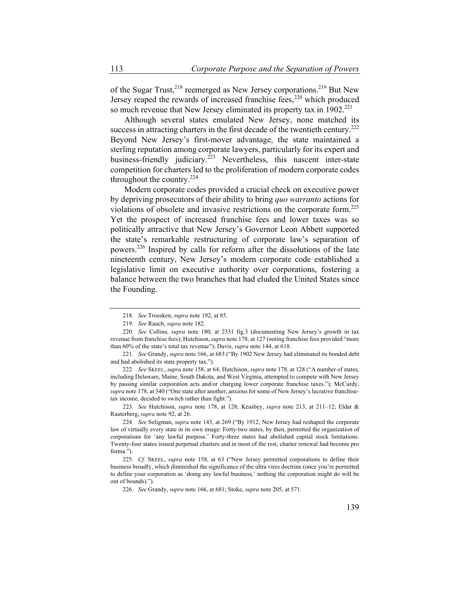of the Sugar Trust,<sup>218</sup> reemerged as New Jersey corporations.<sup>219</sup> But New Jersey reaped the rewards of increased franchise fees, $220$  which produced so much revenue that New Jersey eliminated its property tax in  $1902.^{221}$ 

Although several states emulated New Jersey, none matched its success in attracting charters in the first decade of the twentieth century.<sup>222</sup> Beyond New Jersey's first-mover advantage, the state maintained a sterling reputation among corporate lawyers, particularly for its expert and business-friendly judiciary.<sup>223</sup> Nevertheless, this nascent inter-state competition for charters led to the proliferation of modern corporate codes throughout the country.<sup>224</sup>

Modern corporate codes provided a crucial check on executive power by depriving prosecutors of their ability to bring *quo warranto* actions for violations of obsolete and invasive restrictions on the corporate form.<sup>225</sup> Yet the prospect of increased franchise fees and lower taxes was so politically attractive that New Jersey's Governor Leon Abbett supported the state's remarkable restructuring of corporate law's separation of powers.226 Inspired by calls for reform after the dissolutions of the late nineteenth century, New Jersey's modern corporate code established a legislative limit on executive authority over corporations, fostering a balance between the two branches that had eluded the United States since the Founding.

223*. See* Hutchison, *supra* note 178, at 128; Keasbey, *supra* note 213, at 211–12; Eldar & Rauterberg, *supra* note 92, at 26.

<sup>218</sup>*. See* Troesken, *supra* note 192, at 85.

<sup>219</sup>*. See* Rauch, *supra* note 182.

<sup>220</sup>*. See* Collins, *supra* note 180, at 2331 fig.3 (documenting New Jersey's growth in tax revenue from franchise fees); Hutchison, *supra* note 178, at 127 (noting franchise fees provided "more than 60% of the state's total tax revenue"); Davis, *supra* note 144, at 618.

<sup>221</sup>*. See* Grandy, *supra* note 166, at 683 ("By 1902 New Jersey had eliminated its bonded debt and had abolished its state property tax.").

<sup>222</sup>*. See* SKEEL, *supra* note 158, at 64; Hutchison, *supra* note 178, at 128 ("A number of states, including Delaware, Maine, South Dakota, and West Virginia, attempted to compete with New Jersey by passing similar corporation acts and/or charging lower corporate franchise taxes."); McCurdy, *supra* note 178, at 340 ("One state after another, anxious for some of New Jersey's lucrative franchisetax income, decided to switch rather than fight.").

<sup>224</sup>*. See* Seligman, *supra* note 143, at 269 ("By 1912, New Jersey had reshaped the corporate law of virtually every state in its own image: Forty-two states, by then, permitted the organization of corporations for 'any lawful purpose.' Forty-three states had abolished capital stock limitations. Twenty-four states issued perpetual charters and in most of the rest, charter renewal had become pro forma.").

<sup>225</sup>*. Cf.* SKEEL, *supra* note 158, at 63 ("New Jersey permitted corporations to define their business broadly, which diminished the significance of the ultra vires doctrine (once you're permitted to define your corporation as 'doing any lawful business,' nothing the corporation might do will be out of bounds).").

<sup>226</sup>*. See* Grandy, *supra* note 166, at 681; Stoke, *supra* note 205, at 571.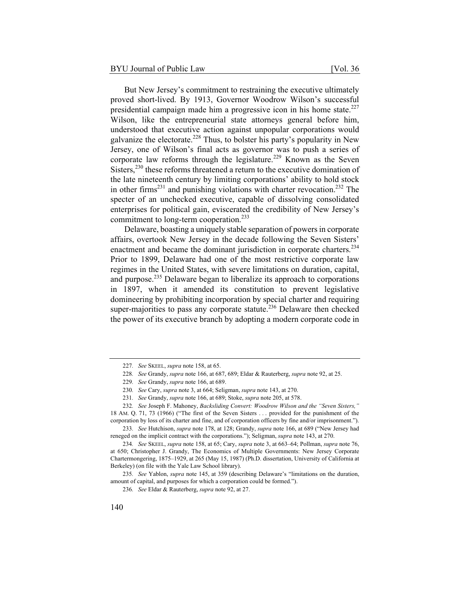But New Jersey's commitment to restraining the executive ultimately proved short-lived. By 1913, Governor Woodrow Wilson's successful presidential campaign made him a progressive icon in his home state. $227$ Wilson, like the entrepreneurial state attorneys general before him, understood that executive action against unpopular corporations would galvanize the electorate.<sup>228</sup> Thus, to bolster his party's popularity in New Jersey, one of Wilson's final acts as governor was to push a series of corporate law reforms through the legislature.<sup>229</sup> Known as the Seven Sisters,<sup>230</sup> these reforms threatened a return to the executive domination of the late nineteenth century by limiting corporations' ability to hold stock

in other firms<sup>231</sup> and punishing violations with charter revocation.<sup>232</sup> The specter of an unchecked executive, capable of dissolving consolidated enterprises for political gain, eviscerated the credibility of New Jersey's commitment to long-term cooperation.<sup>233</sup>

Delaware, boasting a uniquely stable separation of powers in corporate affairs, overtook New Jersey in the decade following the Seven Sisters' enactment and became the dominant jurisdiction in corporate charters.<sup>234</sup> Prior to 1899, Delaware had one of the most restrictive corporate law regimes in the United States, with severe limitations on duration, capital, and purpose.235 Delaware began to liberalize its approach to corporations in 1897, when it amended its constitution to prevent legislative domineering by prohibiting incorporation by special charter and requiring super-majorities to pass any corporate statute.<sup>236</sup> Delaware then checked the power of its executive branch by adopting a modern corporate code in

<sup>227</sup>*. See* SKEEL, *supra* note 158, at 65.

<sup>228</sup>*. See* Grandy, *supra* note 166, at 687, 689; Eldar & Rauterberg, *supra* note 92, at 25.

<sup>229</sup>*. See* Grandy, *supra* note 166, at 689.

<sup>230</sup>*. See* Cary, *supra* note 3, at 664; Seligman, *supra* note 143, at 270.

<sup>231</sup>*. See* Grandy, *supra* note 166, at 689; Stoke, *supra* note 205, at 578.

<sup>232</sup>*. See* Joseph F. Mahoney, *Backsliding Convert: Woodrow Wilson and the "Seven Sisters,"* 18 AM. Q. 71, 73 (1966) ("The first of the Seven Sisters . . . provided for the punishment of the

corporation by loss of its charter and fine, and of corporation officers by fine and/or imprisonment."). 233*. See* Hutchison, *supra* note 178, at 128; Grandy, *supra* note 166, at 689 ("New Jersey had reneged on the implicit contract with the corporations."); Seligman, *supra* note 143, at 270.

<sup>234</sup>*. See* SKEEL, *supra* note 158, at 65; Cary, *supra* note 3, at 663–64; Pollman, *supra* note 76, at 650; Christopher J. Grandy, The Economics of Multiple Governments: New Jersey Corporate Chartermongering, 1875–1929, at 265 (May 15, 1987) (Ph.D. dissertation, University of California at Berkeley) (on file with the Yale Law School library).

<sup>235</sup>*. See* Yablon, *supra* note 145, at 359 (describing Delaware's "limitations on the duration, amount of capital, and purposes for which a corporation could be formed.").

<sup>236</sup>*. See* Eldar & Rauterberg, *supra* note 92, at 27.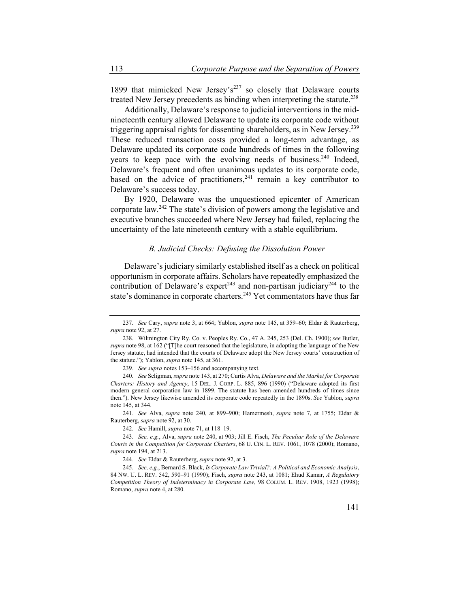1899 that mimicked New Jersey's<sup>237</sup> so closely that Delaware courts treated New Jersey precedents as binding when interpreting the statute.<sup>238</sup>

Additionally, Delaware's response to judicial interventions in the midnineteenth century allowed Delaware to update its corporate code without triggering appraisal rights for dissenting shareholders, as in New Jersey.<sup>239</sup> These reduced transaction costs provided a long-term advantage, as Delaware updated its corporate code hundreds of times in the following years to keep pace with the evolving needs of business.<sup>240</sup> Indeed, Delaware's frequent and often unanimous updates to its corporate code, based on the advice of practitioners,<sup>241</sup> remain a key contributor to Delaware's success today.

By 1920, Delaware was the unquestioned epicenter of American corporate law.242 The state's division of powers among the legislative and executive branches succeeded where New Jersey had failed, replacing the uncertainty of the late nineteenth century with a stable equilibrium.

# *B. Judicial Checks: Defusing the Dissolution Power*

Delaware's judiciary similarly established itself as a check on political opportunism in corporate affairs. Scholars have repeatedly emphasized the contribution of Delaware's expert<sup>243</sup> and non-partisan judiciary<sup>244</sup> to the state's dominance in corporate charters.<sup>245</sup> Yet commentators have thus far

241*. See* Alva, *supra* note 240, at 899–900; Hamermesh, *supra* note 7, at 1755; Eldar & Rauterberg, *supra* note 92, at 30.

242*. See* Hamill, *supra* note 71, at 118–19.

244*. See* Eldar & Rauterberg, *supra* note 92, at 3.

<sup>237</sup>*. See* Cary, *supra* note 3, at 664; Yablon, *supra* note 145, at 359–60; Eldar & Rauterberg, *supra* note 92, at 27.

<sup>238.</sup> Wilmington City Ry. Co. v. Peoples Ry. Co., 47 A. 245, 253 (Del. Ch. 1900); *see* Butler, *supra* note 98, at 162 ("[T]he court reasoned that the legislature, in adopting the language of the New Jersey statute, had intended that the courts of Delaware adopt the New Jersey courts' construction of the statute."); Yablon, *supra* note 145, at 361.

<sup>239</sup>*. See supra* notes 153–156 and accompanying text.

<sup>240</sup>*. See* Seligman, *supra* note 143, at 270; Curtis Alva, *Delaware and the Market for Corporate Charters: History and Agency*, 15 DEL. J. CORP. L. 885, 896 (1990) ("Delaware adopted its first modern general corporation law in 1899. The statute has been amended hundreds of times since then."). New Jersey likewise amended its corporate code repeatedly in the 1890s. *See* Yablon, *supra* note 145, at 344.

<sup>243</sup>*. See, e.g.*, Alva, *supra* note 240, at 903; Jill E. Fisch, *The Peculiar Role of the Delaware Courts in the Competition for Corporate Charters*, 68 U. CIN. L. REV. 1061, 1078 (2000); Romano, *supra* note 194, at 213.

<sup>245</sup>*. See, e.g.*, Bernard S. Black, *Is Corporate Law Trivial?: A Political and Economic Analysis*, 84 NW. U. L. REV. 542, 590–91 (1990); Fisch, *supra* note 243, at 1081; Ehud Kamar, *A Regulatory Competition Theory of Indeterminacy in Corporate Law*, 98 COLUM. L. REV. 1908, 1923 (1998); Romano, *supra* note 4, at 280.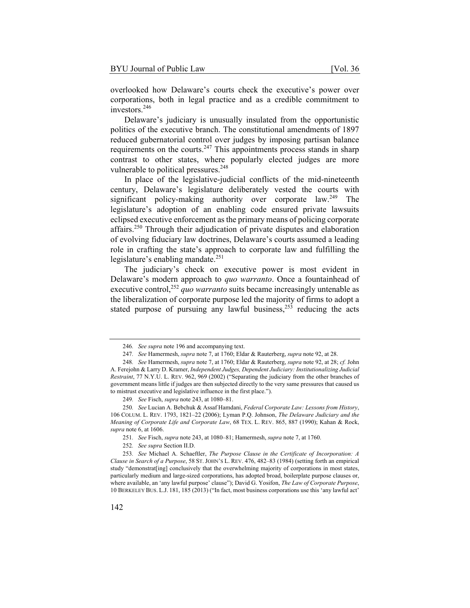overlooked how Delaware's courts check the executive's power over corporations, both in legal practice and as a credible commitment to investors.<sup>246</sup>

Delaware's judiciary is unusually insulated from the opportunistic politics of the executive branch. The constitutional amendments of 1897 reduced gubernatorial control over judges by imposing partisan balance requirements on the courts. $247$  This appointments process stands in sharp contrast to other states, where popularly elected judges are more vulnerable to political pressures.<sup>248</sup>

In place of the legislative-judicial conflicts of the mid-nineteenth century, Delaware's legislature deliberately vested the courts with significant policy-making authority over corporate law.<sup>249</sup> The legislature's adoption of an enabling code ensured private lawsuits eclipsed executive enforcement as the primary means of policing corporate affairs.250 Through their adjudication of private disputes and elaboration of evolving fiduciary law doctrines, Delaware's courts assumed a leading role in crafting the state's approach to corporate law and fulfilling the legislature's enabling mandate.<sup>251</sup>

The judiciary's check on executive power is most evident in Delaware's modern approach to *quo warranto*. Once a fountainhead of executive control,<sup>252</sup> *quo warranto* suits became increasingly untenable as the liberalization of corporate purpose led the majority of firms to adopt a stated purpose of pursuing any lawful business, $^{253}$  reducing the acts

<sup>246</sup>*. See supra* note 196 and accompanying text.

<sup>247</sup>*. See* Hamermesh, *supra* note 7, at 1760; Eldar & Rauterberg, *supra* note 92, at 28.

<sup>248</sup>*. See* Hamermesh, *supra* note 7, at 1760; Eldar & Rauterberg, *supra* note 92, at 28; *cf.* John A. Ferejohn & Larry D. Kramer, *Independent Judges, Dependent Judiciary: Institutionalizing Judicial Restraint*, 77 N.Y.U. L. REV. 962, 969 (2002) ("Separating the judiciary from the other branches of government means little if judges are then subjected directly to the very same pressures that caused us to mistrust executive and legislative influence in the first place.").

<sup>249</sup>*. See* Fisch, *supra* note 243, at 1080–81.

<sup>250</sup>*. See* Lucian A. Bebchuk & Assaf Hamdani, *Federal Corporate Law: Lessons from History*, 106 COLUM. L. REV. 1793, 1821–22 (2006); Lyman P.Q. Johnson, *The Delaware Judiciary and the Meaning of Corporate Life and Corporate Law*, 68 TEX. L. REV. 865, 887 (1990); Kahan & Rock, *supra* note 6, at 1606.

<sup>251</sup>*. See* Fisch, *supra* note 243, at 1080–81; Hamermesh, *supra* note 7, at 1760.

<sup>252</sup>*. See supra* Section II.D.

<sup>253</sup>*. See* Michael A. Schaeftler, *The Purpose Clause in the Certificate of Incorporation: A Clause in Search of a Purpose*, 58 ST. JOHN'S L. REV. 476, 482–83 (1984) (setting forth an empirical study "demonstrat[ing] conclusively that the overwhelming majority of corporations in most states, particularly medium and large-sized corporations, has adopted broad, boilerplate purpose clauses or, where available, an 'any lawful purpose' clause"); David G. Yosifon, *The Law of Corporate Purpose*, 10 BERKELEY BUS. L.J. 181, 185 (2013) ("In fact, most business corporations use this 'any lawful act'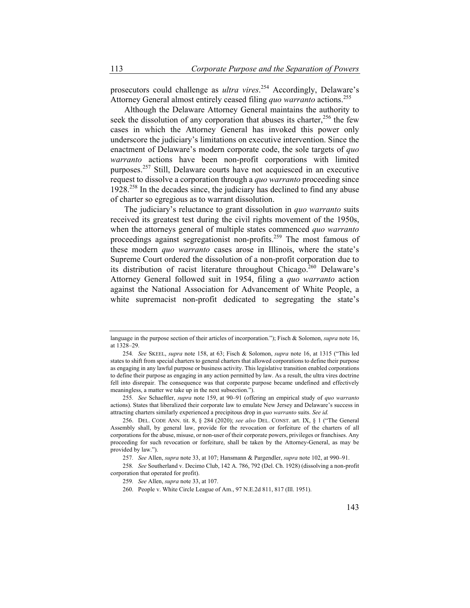prosecutors could challenge as *ultra vires*. 254 Accordingly, Delaware's Attorney General almost entirely ceased filing *quo warranto* actions.<sup>255</sup>

Although the Delaware Attorney General maintains the authority to seek the dissolution of any corporation that abuses its charter,  $256$  the few cases in which the Attorney General has invoked this power only underscore the judiciary's limitations on executive intervention. Since the enactment of Delaware's modern corporate code, the sole targets of *quo warranto* actions have been non-profit corporations with limited purposes.257 Still, Delaware courts have not acquiesced in an executive request to dissolve a corporation through a *quo warranto* proceeding since 1928.258 In the decades since, the judiciary has declined to find any abuse of charter so egregious as to warrant dissolution.

The judiciary's reluctance to grant dissolution in *quo warranto* suits received its greatest test during the civil rights movement of the 1950s, when the attorneys general of multiple states commenced *quo warranto* proceedings against segregationist non-profits.<sup>259</sup> The most famous of these modern *quo warranto* cases arose in Illinois, where the state's Supreme Court ordered the dissolution of a non-profit corporation due to its distribution of racist literature throughout Chicago.<sup>260</sup> Delaware's Attorney General followed suit in 1954, filing a *quo warranto* action against the National Association for Advancement of White People, a white supremacist non-profit dedicated to segregating the state's

255*. See* Schaeftler, *supra* note 159, at 90–91 (offering an empirical study of *quo warranto* actions). States that liberalized their corporate law to emulate New Jersey and Delaware's success in attracting charters similarly experienced a precipitous drop in *quo warranto* suits. *See id.*

language in the purpose section of their articles of incorporation."); Fisch & Solomon, *supra* note 16, at 1328–29.

<sup>254</sup>*. See* SKEEL, *supra* note 158, at 63; Fisch & Solomon, *supra* note 16, at 1315 ("This led states to shift from special charters to general charters that allowed corporations to define their purpose as engaging in any lawful purpose or business activity. This legislative transition enabled corporations to define their purpose as engaging in any action permitted by law. As a result, the ultra vires doctrine fell into disrepair. The consequence was that corporate purpose became undefined and effectively meaningless, a matter we take up in the next subsection.").

<sup>256.</sup> DEL. CODE ANN. tit. 8, § 284 (2020); *see also* DEL. CONST. art. IX, § 1 ("The General Assembly shall, by general law, provide for the revocation or forfeiture of the charters of all corporations for the abuse, misuse, or non-user of their corporate powers, privileges or franchises. Any proceeding for such revocation or forfeiture, shall be taken by the Attorney-General, as may be provided by law.").

<sup>257</sup>*. See* Allen, *supra* note 33, at 107; Hansmann & Pargendler, *supra* note 102, at 990–91.

<sup>258</sup>*. See* Southerland v. Decimo Club, 142 A. 786, 792 (Del. Ch. 1928) (dissolving a non-profit corporation that operated for profit).

<sup>259</sup>*. See* Allen, *supra* note 33, at 107.

<sup>260.</sup> People v. White Circle League of Am., 97 N.E.2d 811, 817 (Ill. 1951).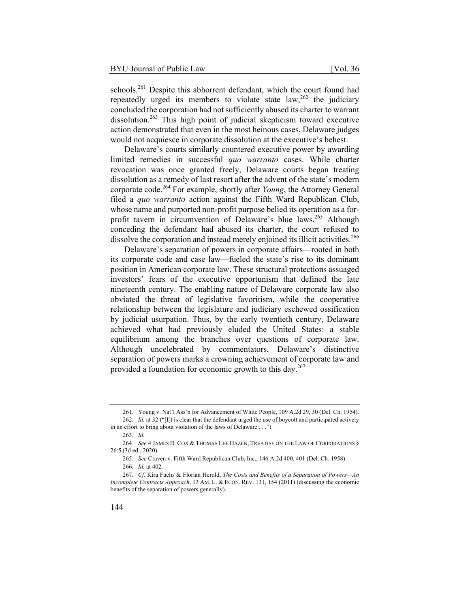schools.<sup>261</sup> Despite this abhorrent defendant, which the court found had repeatedly urged its members to violate state  $law$ ,  $262$  the judiciary concluded the corporation had not sufficiently abused its charter to warrant dissolution.<sup>263</sup> This high point of judicial skepticism toward executive action demonstrated that even in the most heinous cases, Delaware judges would not acquiesce in corporate dissolution at the executive's behest.

Delaware's courts similarly countered executive power by awarding limited remedies in successful *quo warranto* cases. While charter revocation was once granted freely, Delaware courts began treating dissolution as a remedy of last resort after the advent of the state's modern corporate code.264 For example, shortly after *Young*, the Attorney General filed a *quo warranto* action against the Fifth Ward Republican Club, whose name and purported non-profit purpose belied its operation as a forprofit tavern in circumvention of Delaware's blue laws.<sup>265</sup> Although conceding the defendant had abused its charter, the court refused to dissolve the corporation and instead merely enjoined its illicit activities.<sup>266</sup>

Delaware's separation of powers in corporate affairs—rooted in both its corporate code and case law—fueled the state's rise to its dominant position in American corporate law. These structural protections assuaged investors' fears of the executive opportunism that defined the late nineteenth century. The enabling nature of Delaware corporate law also obviated the threat of legislative favoritism, while the cooperative relationship between the legislature and judiciary eschewed ossification by judicial usurpation. Thus, by the early twentieth century, Delaware achieved what had previously eluded the United States: a stable equilibrium among the branches over questions of corporate law. Although uncelebrated by commentators, Delaware's distinctive separation of powers marks a crowning achievement of corporate law and provided a foundation for economic growth to this day.<sup>267</sup>

<sup>261.</sup> Young v. Nat'l Ass'n for Advancement of White People, 109 A.2d 29, 30 (Del. Ch. 1954). 262*. Id.* at 32 ("[I]t is clear that the defendant urged the use of boycott and participated actively

in an effort to bring about violation of the laws of Delaware . . .").

<sup>263</sup>*. Id.*

<sup>264</sup>*. See* 4 JAMES D. COX & THOMAS LEE HAZEN, TREATISE ON THE LAW OF CORPORATIONS § 26:5 (3d ed., 2020).

<sup>265</sup>*. See* Craven v. Fifth Ward Republican Club, Inc., 146 A.2d 400, 401 (Del. Ch. 1958).

<sup>266</sup>*. Id.* at 402.

<sup>267</sup>*. Cf.* Kira Fuchs & Florian Herold, *The Costs and Benefits of a Separation of Powers—An Incomplete Contracts Approach*, 13 AM. L. & ECON. REV. 131, 154 (2011) (discussing the economic benefits of the separation of powers generally).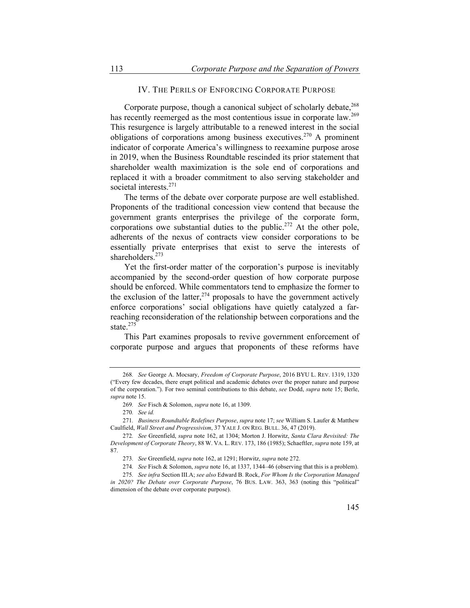# IV. THE PERILS OF ENFORCING CORPORATE PURPOSE

Corporate purpose, though a canonical subject of scholarly debate,<sup>268</sup> has recently reemerged as the most contentious issue in corporate law.<sup>269</sup> This resurgence is largely attributable to a renewed interest in the social obligations of corporations among business executives.<sup>270</sup> A prominent indicator of corporate America's willingness to reexamine purpose arose in 2019, when the Business Roundtable rescinded its prior statement that shareholder wealth maximization is the sole end of corporations and replaced it with a broader commitment to also serving stakeholder and societal interests.<sup>271</sup>

The terms of the debate over corporate purpose are well established. Proponents of the traditional concession view contend that because the government grants enterprises the privilege of the corporate form, corporations owe substantial duties to the public.<sup>272</sup> At the other pole, adherents of the nexus of contracts view consider corporations to be essentially private enterprises that exist to serve the interests of shareholders.<sup>273</sup>

Yet the first-order matter of the corporation's purpose is inevitably accompanied by the second-order question of how corporate purpose should be enforced. While commentators tend to emphasize the former to the exclusion of the latter,  $274$  proposals to have the government actively enforce corporations' social obligations have quietly catalyzed a farreaching reconsideration of the relationship between corporations and the state.<sup>275</sup>

This Part examines proposals to revive government enforcement of corporate purpose and argues that proponents of these reforms have

<sup>268</sup>*. See* George A. Mocsary, *Freedom of Corporate Purpose*, 2016 BYU L. REV. 1319, 1320 ("Every few decades, there erupt political and academic debates over the proper nature and purpose of the corporation."). For two seminal contributions to this debate, *see* Dodd, *supra* note 15; Berle, *supra* note 15.

<sup>269</sup>*. See* Fisch & Solomon, *supra* note 16, at 1309.

<sup>270</sup>*. See id.*

<sup>271</sup>*. Business Roundtable Redefines Purpose*, *supra* note 17; *see* William S. Laufer & Matthew Caulfield, *Wall Street and Progressivism*, 37 YALE J. ON REG. BULL. 36, 47 (2019).

<sup>272</sup>*. See* Greenfield, *supra* note 162, at 1304; Morton J. Horwitz, *Santa Clara Revisited: The Development of Corporate Theory*, 88 W. VA. L. REV. 173, 186 (1985); Schaeftler, *supra* note 159, at 87.

<sup>273</sup>*. See* Greenfield, *supra* note 162, at 1291; Horwitz, *supra* note 272.

<sup>274</sup>*. See* Fisch & Solomon, *supra* note 16, at 1337, 1344–46 (observing that this is a problem).

<sup>275</sup>*. See infra* Section III.A; *see also* Edward B. Rock, *For Whom Is the Corporation Managed in 2020? The Debate over Corporate Purpose*, 76 BUS. LAW. 363, 363 (noting this "political" dimension of the debate over corporate purpose).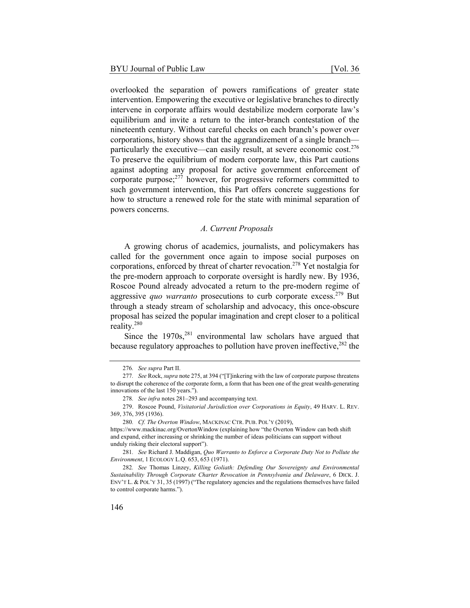overlooked the separation of powers ramifications of greater state intervention. Empowering the executive or legislative branches to directly intervene in corporate affairs would destabilize modern corporate law's equilibrium and invite a return to the inter-branch contestation of the nineteenth century. Without careful checks on each branch's power over corporations, history shows that the aggrandizement of a single branch particularly the executive—can easily result, at severe economic cost. $276$ To preserve the equilibrium of modern corporate law, this Part cautions against adopting any proposal for active government enforcement of corporate purpose; $^{277}$  however, for progressive reformers committed to such government intervention, this Part offers concrete suggestions for how to structure a renewed role for the state with minimal separation of powers concerns.

## *A. Current Proposals*

A growing chorus of academics, journalists, and policymakers has called for the government once again to impose social purposes on corporations, enforced by threat of charter revocation.278 Yet nostalgia for the pre-modern approach to corporate oversight is hardly new. By 1936, Roscoe Pound already advocated a return to the pre-modern regime of aggressive *quo warranto* prosecutions to curb corporate excess.<sup>279</sup> But through a steady stream of scholarship and advocacy, this once-obscure proposal has seized the popular imagination and crept closer to a political reality.280

Since the  $1970s$ ,<sup>281</sup> environmental law scholars have argued that because regulatory approaches to pollution have proven ineffective, $282$  the

<sup>276</sup>*. See supra* Part II.

<sup>277</sup>*. See* Rock, *supra* note 275, at 394 ("[T]inkering with the law of corporate purpose threatens to disrupt the coherence of the corporate form, a form that has been one of the great wealth-generating innovations of the last 150 years.").

<sup>278</sup>*. See infra* notes 281–293 and accompanying text.

<sup>279.</sup> Roscoe Pound, *Visitatorial Jurisdiction over Corporations in Equity*, 49 HARV. L. REV. 369, 376, 395 (1936).

<sup>280</sup>*. Cf. The Overton Window*, MACKINAC CTR. PUB. POL'Y (2019),

https://www.mackinac.org/OvertonWindow (explaining how "the Overton Window can both shift and expand, either increasing or shrinking the number of ideas politicians can support without unduly risking their electoral support").

<sup>281</sup>*. See* Richard J. Maddigan, *Quo Warranto to Enforce a Corporate Duty Not to Pollute the Environment*, 1 ECOLOGY L.Q. 653, 653 (1971).

<sup>282</sup>*. See* Thomas Linzey, *Killing Goliath: Defending Our Sovereignty and Environmental Sustainability Through Corporate Charter Revocation in Pennsylvania and Delaware*, 6 DICK. J. ENV'T L. & POL'Y 31, 35 (1997) ("The regulatory agencies and the regulations themselves have failed to control corporate harms.").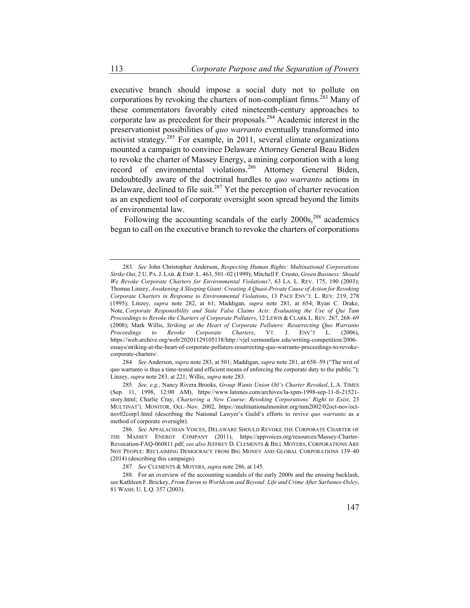executive branch should impose a social duty not to pollute on corporations by revoking the charters of non-compliant firms.<sup>283</sup> Many of these commentators favorably cited nineteenth-century approaches to corporate law as precedent for their proposals.284 Academic interest in the preservationist possibilities of *quo warranto* eventually transformed into activist strategy.285 For example, in 2011, several climate organizations mounted a campaign to convince Delaware Attorney General Beau Biden to revoke the charter of Massey Energy, a mining corporation with a long record of environmental violations.<sup>286</sup> Attorney General Biden, undoubtedly aware of the doctrinal hurdles to *quo warranto* actions in Delaware, declined to file suit.<sup>287</sup> Yet the perception of charter revocation as an expedient tool of corporate oversight soon spread beyond the limits of environmental law.

Following the accounting scandals of the early  $2000s$ ,<sup>288</sup> academics began to call on the executive branch to revoke the charters of corporations

284*. See* Anderson, *supra* note 283, at 501; Maddigan, *supra* note 281, at 658–59 ("The writ of quo warranto is thus a time-tested and efficient means of enforcing the corporate duty to the public."); Linzey, *supra* note 283, at 221; Willis, *supra* note 283.

285*. See, e.g.*, Nancy Rivera Brooks, *Group Wants Union Oil's Charter Revoked*, L.A. TIMES (Sep. 11, 1998, 12:00 AM), https://www.latimes.com/archives/la-xpm-1998-sep-11-fi-21521 story.html; Charlie Cray, *Chartering a New Course: Revoking Corporations' Right to Exist*, 23 MULTINAT'L MONITOR, Oct.–Nov. 2002, https://multinationalmonitor.org/mm2002/02oct-nov/octnov02corp1.html (describing the National Lawyer's Guild's efforts to revive *quo warranto* as a method of corporate oversight).

286*. See* APPALACHIAN VOICES, DELAWARE SHOULD REVOKE THE CORPORATE CHARTER OF THE MASSEY ENERGY COMPANY (2011), https://appvoices.org/resources/Massey-Charter-Revocation-FAQ-060811.pdf; *see also* JEFFREY D. CLEMENTS & BILL MOYERS, CORPORATIONS ARE NOT PEOPLE: RECLAIMING DEMOCRACY FROM BIG MONEY AND GLOBAL CORPORATIONS 139–40 (2014) (describing this campaign).

287*. See* CLEMENTS & MOYERS, *supra* note 286, at 145.

288. For an overview of the accounting scandals of the early 2000s and the ensuing backlash, see Kathleen F. Brickey, *From Enron to Worldcom and Beyond: Life and Crime After Sarbanes-Oxley*, 81 WASH. U. L.Q. 357 (2003).

<sup>283</sup>*. See* John Christopher Anderson, *Respecting Human Rights: Multinational Corporations Strike Out*, 2 U. PA.J. LAB. & EMP. L. 463, 501–02 (1999); Mitchell F. Crusto, *Green Business: Should We Revoke Corporate Charters for Environmental Violations?*, 63 LA. L. REV. 175, 190 (2003); Thomas Linzey, *Awakening A Sleeping Giant: Creating A Quasi-Private Cause of Action for Revoking Corporate Charters in Response to Environmental Violations*, 13 PACE ENV'T. L. REV. 219, 278 (1995); Linzey, *supra* note 282, at 61; Maddigan, *supra* note 281, at 654; Ryan C. Drake, Note, *Corporate Responsibility and State False Claims Acts: Evaluating the Use of Qui Tam Proceedings to Revoke the Charters of Corporate Polluters*, 12 LEWIS & CLARK L. REV. 267, 268–69 (2008); Mark Willis, *Striking at the Heart of Corporate Polluters: Resurrecting Quo Warranto Proceedings to Revoke Corporate Charters*, VT. J. ENV'T L. (2006), https://web.archive.org/web/20201129105138/http://vjel.vermontlaw.edu/writing-competition/2006 essays/striking-at-the-heart-of-corporate-polluters-resurrecting-quo-warranto-proceedings-to-revokecorporate-charters/.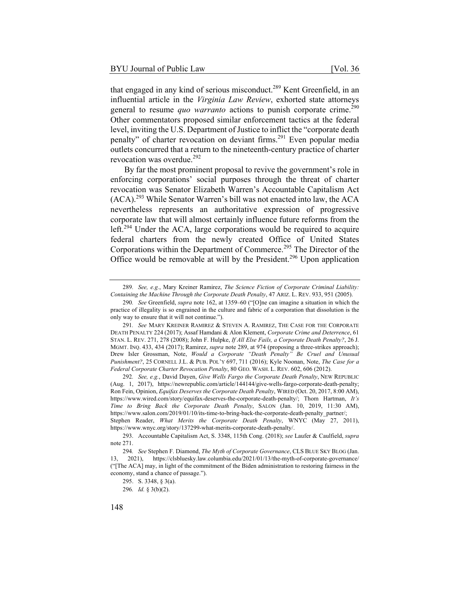that engaged in any kind of serious misconduct.<sup>289</sup> Kent Greenfield, in an influential article in the *Virginia Law Review*, exhorted state attorneys general to resume *quo warranto* actions to punish corporate crime.<sup>290</sup> Other commentators proposed similar enforcement tactics at the federal level, inviting the U.S. Department of Justice to inflict the "corporate death penalty" of charter revocation on deviant firms.<sup>291</sup> Even popular media outlets concurred that a return to the nineteenth-century practice of charter revocation was overdue.<sup>292</sup>

By far the most prominent proposal to revive the government's role in enforcing corporations' social purposes through the threat of charter revocation was Senator Elizabeth Warren's Accountable Capitalism Act  $(ACA)$ <sup>293</sup> While Senator Warren's bill was not enacted into law, the ACA nevertheless represents an authoritative expression of progressive corporate law that will almost certainly influence future reforms from the left.<sup>294</sup> Under the ACA, large corporations would be required to acquire federal charters from the newly created Office of United States Corporations within the Department of Commerce.<sup>295</sup> The Director of the Office would be removable at will by the President.<sup>296</sup> Upon application

<sup>289</sup>*. See, e.g.*, Mary Kreiner Ramirez, *The Science Fiction of Corporate Criminal Liability: Containing the Machine Through the Corporate Death Penalty*, 47 ARIZ. L. REV. 933, 951 (2005).

<sup>290</sup>*. See* Greenfield, *supra* note 162, at 1359–60 ("[O]ne can imagine a situation in which the practice of illegality is so engrained in the culture and fabric of a corporation that dissolution is the only way to ensure that it will not continue.").

<sup>291</sup>*. See* MARY KREINER RAMIREZ & STEVEN A. RAMIREZ, THE CASE FOR THE CORPORATE DEATH PENALTY 224 (2017); Assaf Hamdani & Alon Klement, *Corporate Crime and Deterrence*, 61 STAN. L. REV. 271, 278 (2008); John F. Hulpke, *If All Else Fails, a Corporate Death Penalty?*, 26 J. MGMT. INQ. 433, 434 (2017); Ramirez, *supra* note 289, at 974 (proposing a three-strikes approach); Drew Isler Grossman, Note, *Would a Corporate "Death Penalty" Be Cruel and Unusual Punishment?*, 25 CORNELL J.L. & PUB. POL'Y 697, 711 (2016); Kyle Noonan, Note, *The Case for a Federal Corporate Charter Revocation Penalty*, 80 GEO. WASH. L. REV. 602, 606 (2012).

<sup>292</sup>*. See, e.g.*, David Dayen, *Give Wells Fargo the Corporate Death Penalty*, NEW REPUBLIC (Aug. 1, 2017), https://newrepublic.com/article/144144/give-wells-fargo-corporate-death-penalty; Ron Fein, Opinion, *Equifax Deserves the Corporate Death Penalty*, WIRED (Oct. 20, 2017, 8:00 AM), https://www.wired.com/story/equifax-deserves-the-corporate-death-penalty/; Thom Hartman, *It's Time to Bring Back the Corporate Death Penalty*, SALON (Jan. 10, 2019, 11:30 AM), https://www.salon.com/2019/01/10/its-time-to-bring-back-the-corporate-death-penalty\_partner/; Stephen Reader, *What Merits the Corporate Death Penalty*, WNYC (May 27, 2011), https://www.wnyc.org/story/137299-what-merits-corporate-death-penalty/.

<sup>293.</sup> Accountable Capitalism Act, S. 3348, 115th Cong. (2018); *see* Laufer & Caulfield, *supra* note 271.

<sup>294</sup>*. See* Stephen F. Diamond, *The Myth of Corporate Governance*, CLS BLUE SKY BLOG (Jan. 13, 2021), https://clsbluesky.law.columbia.edu/2021/01/13/the-myth-of-corporate-governance/ ("[The ACA] may, in light of the commitment of the Biden administration to restoring fairness in the economy, stand a chance of passage.").

<sup>295.</sup> S. 3348, § 3(a).

<sup>296</sup>*. Id.* § 3(b)(2).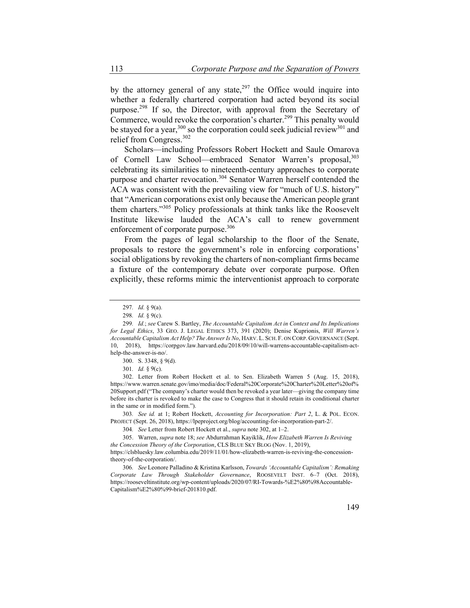by the attorney general of any state,  $297$  the Office would inquire into whether a federally chartered corporation had acted beyond its social purpose.298 If so, the Director, with approval from the Secretary of Commerce, would revoke the corporation's charter.<sup>299</sup> This penalty would be stayed for a year,<sup>300</sup> so the corporation could seek judicial review<sup>301</sup> and relief from Congress.<sup>302</sup>

Scholars—including Professors Robert Hockett and Saule Omarova of Cornell Law School—embraced Senator Warren's proposal, 303 celebrating its similarities to nineteenth-century approaches to corporate purpose and charter revocation.<sup>304</sup> Senator Warren herself contended the ACA was consistent with the prevailing view for "much of U.S. history" that "American corporations exist only because the American people grant them charters."305 Policy professionals at think tanks like the Roosevelt Institute likewise lauded the ACA's call to renew government enforcement of corporate purpose.<sup>306</sup>

From the pages of legal scholarship to the floor of the Senate, proposals to restore the government's role in enforcing corporations' social obligations by revoking the charters of non-compliant firms became a fixture of the contemporary debate over corporate purpose. Often explicitly, these reforms mimic the interventionist approach to corporate

302. Letter from Robert Hockett et al. to Sen. Elizabeth Warren 5 (Aug. 15, 2018), https://www.warren.senate.gov/imo/media/doc/Federal%20Corporate%20Charter%20Letter%20of% 20Support.pdf ("The company's charter would then be revoked a year later—giving the company time before its charter is revoked to make the case to Congress that it should retain its conditional charter in the same or in modified form.").

303*. See id.* at 1; Robert Hockett, *Accounting for Incorporation: Part 2*, L. & POL. ECON. PROJECT (Sept. 26, 2018), https://lpeproject.org/blog/accounting-for-incorporation-part-2/.

304*. See* Letter from Robert Hockett et al., *supra* note 302, at 1–2.

305. Warren, *supra* note 18; *see* Abdurrahman Kayiklik, *How Elizabeth Warren Is Reviving the Concession Theory of the Corporation*, CLS BLUE SKY BLOG (Nov. 1, 2019),

https://clsbluesky.law.columbia.edu/2019/11/01/how-elizabeth-warren-is-reviving-the-concessiontheory-of-the-corporation/.

306*. See* Leonore Palladino & Kristina Karlsson, *Towards 'Accountable Capitalism': Remaking Corporate Law Through Stakeholder Governance*, ROOSEVELT INST. 6–7 (Oct. 2018), https://rooseveltinstitute.org/wp-content/uploads/2020/07/RI-Towards-%E2%80%98Accountable-Capitalism%E2%80%99-brief-201810.pdf.

<sup>297</sup>*. Id.* § 9(a).

<sup>298</sup>*. Id.* § 9(c).

<sup>299</sup>*. Id.*; *see* Carew S. Bartley, *The Accountable Capitalism Act in Context and Its Implications for Legal Ethics*, 33 GEO. J. LEGAL ETHICS 373, 391 (2020); Denise Kuprionis, *Will Warren's Accountable Capitalism Act Help? The Answer Is No*, HARV. L. SCH. F. ON CORP. GOVERNANCE (Sept. 10, 2018), https://corpgov.law.harvard.edu/2018/09/10/will-warrens-accountable-capitalism-acthelp-the-answer-is-no/.

<sup>300.</sup> S. 3348, § 9(d).

<sup>301</sup>*. Id.* § 9(c).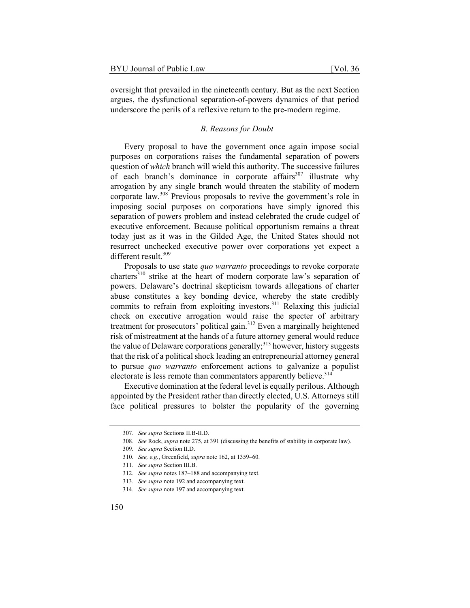oversight that prevailed in the nineteenth century. But as the next Section argues, the dysfunctional separation-of-powers dynamics of that period underscore the perils of a reflexive return to the pre-modern regime.

#### *B. Reasons for Doubt*

Every proposal to have the government once again impose social purposes on corporations raises the fundamental separation of powers question of *which* branch will wield this authority. The successive failures of each branch's dominance in corporate affairs<sup>307</sup> illustrate why arrogation by any single branch would threaten the stability of modern corporate law.308 Previous proposals to revive the government's role in imposing social purposes on corporations have simply ignored this separation of powers problem and instead celebrated the crude cudgel of executive enforcement. Because political opportunism remains a threat today just as it was in the Gilded Age, the United States should not resurrect unchecked executive power over corporations yet expect a different result.<sup>309</sup>

Proposals to use state *quo warranto* proceedings to revoke corporate charters<sup>310</sup> strike at the heart of modern corporate law's separation of powers. Delaware's doctrinal skepticism towards allegations of charter abuse constitutes a key bonding device, whereby the state credibly commits to refrain from exploiting investors.311 Relaxing this judicial check on executive arrogation would raise the specter of arbitrary treatment for prosecutors' political gain.<sup>312</sup> Even a marginally heightened risk of mistreatment at the hands of a future attorney general would reduce the value of Delaware corporations generally; $313$  however, history suggests that the risk of a political shock leading an entrepreneurial attorney general to pursue *quo warranto* enforcement actions to galvanize a populist electorate is less remote than commentators apparently believe.<sup>314</sup>

Executive domination at the federal level is equally perilous. Although appointed by the President rather than directly elected, U.S. Attorneys still face political pressures to bolster the popularity of the governing

<sup>307</sup>*. See supra* Sections II.B-II.D.

<sup>308</sup>*. See* Rock, *supra* note 275, at 391 (discussing the benefits of stability in corporate law).

<sup>309</sup>*. See supra* Section II.D.

<sup>310</sup>*. See, e.g.*, Greenfield, *supra* note 162, at 1359–60.

<sup>311</sup>*. See supra* Section III.B.

<sup>312</sup>*. See supra* notes 187–188 and accompanying text.

<sup>313</sup>*. See supra* note 192 and accompanying text.

<sup>314</sup>*. See supra* note 197 and accompanying text.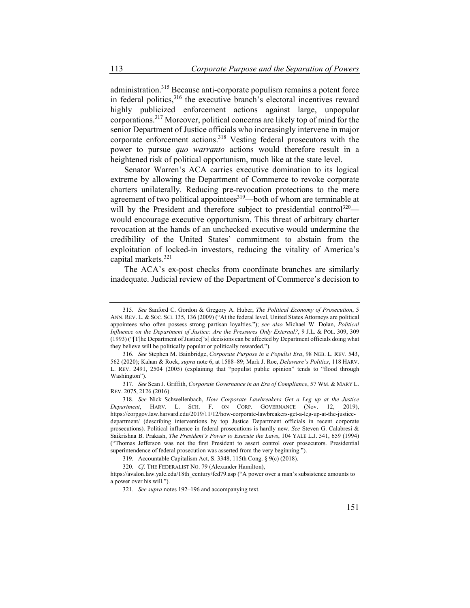administration.315 Because anti-corporate populism remains a potent force in federal politics,<sup>316</sup> the executive branch's electoral incentives reward highly publicized enforcement actions against large, unpopular corporations.317 Moreover, political concerns are likely top of mind for the senior Department of Justice officials who increasingly intervene in major corporate enforcement actions.<sup>318</sup> Vesting federal prosecutors with the power to pursue *quo warranto* actions would therefore result in a heightened risk of political opportunism, much like at the state level.

Senator Warren's ACA carries executive domination to its logical extreme by allowing the Department of Commerce to revoke corporate charters unilaterally. Reducing pre-revocation protections to the mere agreement of two political appointees<sup>319</sup>—both of whom are terminable at will by the President and therefore subject to presidential control<sup>320</sup> would encourage executive opportunism. This threat of arbitrary charter revocation at the hands of an unchecked executive would undermine the credibility of the United States' commitment to abstain from the exploitation of locked-in investors, reducing the vitality of America's capital markets.<sup>321</sup>

The ACA's ex-post checks from coordinate branches are similarly inadequate. Judicial review of the Department of Commerce's decision to

<sup>315</sup>*. See* Sanford C. Gordon & Gregory A. Huber, *The Political Economy of Prosecution*, 5 ANN. REV. L. & SOC. SCI. 135, 136 (2009) ("At the federal level, United States Attorneys are political appointees who often possess strong partisan loyalties."); *see also* Michael W. Dolan, *Political Influence on the Department of Justice: Are the Pressures Only External?*, 9 J.L. & POL. 309, 309 (1993) ("[T]he Department of Justice['s] decisions can be affected by Department officials doing what they believe will be politically popular or politically rewarded.").

<sup>316</sup>*. See* Stephen M. Bainbridge, *Corporate Purpose in a Populist Era*, 98 NEB. L. REV. 543, 562 (2020); Kahan & Rock, *supra* note 6, at 1588–89; Mark J. Roe, *Delaware's Politics*, 118 HARV. L. REV. 2491, 2504 (2005) (explaining that "populist public opinion" tends to "flood through Washington").

<sup>317</sup>*. See* Sean J. Griffith, *Corporate Governance in an Era of Compliance*, 57 WM. & MARY L. REV. 2075, 2126 (2016).

<sup>318</sup>*. See* Nick Schwellenbach, *How Corporate Lawbreakers Get a Leg up at the Justice Department*, HARV. L. SCH. F. ON CORP. GOVERNANCE (Nov. 12, 2019), https://corpgov.law.harvard.edu/2019/11/12/how-corporate-lawbreakers-get-a-leg-up-at-the-justicedepartment/ (describing interventions by top Justice Department officials in recent corporate prosecutions). Political influence in federal prosecutions is hardly new. *See* Steven G. Calabresi & Saikrishna B. Prakash, *The President's Power to Execute the Laws*, 104 YALE L.J. 541, 659 (1994) ("Thomas Jefferson was not the first President to assert control over prosecutors. Presidential superintendence of federal prosecution was asserted from the very beginning.").

<sup>319.</sup> Accountable Capitalism Act, S. 3348, 115th Cong. § 9(c) (2018).

<sup>320</sup>*. Cf.* THE FEDERALIST NO. 79 (Alexander Hamilton),

https://avalon.law.yale.edu/18th\_century/fed79.asp ("A power over a man's subsistence amounts to a power over his will.").

<sup>321</sup>*. See supra* notes 192–196 and accompanying text.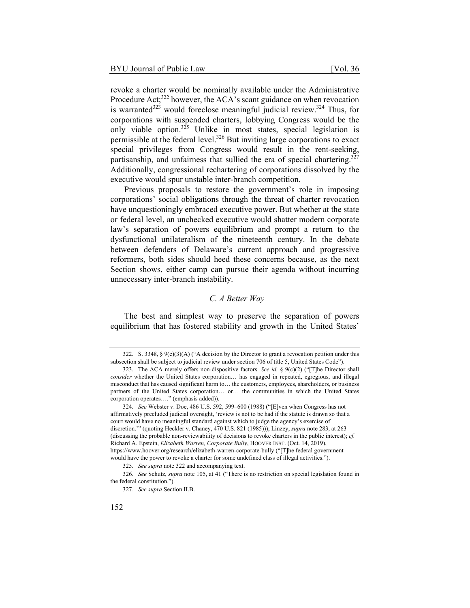revoke a charter would be nominally available under the Administrative Procedure Act; $322$  however, the ACA's scant guidance on when revocation is warranted<sup>323</sup> would foreclose meaningful judicial review.<sup>324</sup> Thus, for corporations with suspended charters, lobbying Congress would be the only viable option.<sup>325</sup> Unlike in most states, special legislation is permissible at the federal level. $326$  But inviting large corporations to exact special privileges from Congress would result in the rent-seeking, partisanship, and unfairness that sullied the era of special chartering.<sup>327</sup> Additionally, congressional rechartering of corporations dissolved by the executive would spur unstable inter-branch competition.

Previous proposals to restore the government's role in imposing corporations' social obligations through the threat of charter revocation have unquestioningly embraced executive power. But whether at the state or federal level, an unchecked executive would shatter modern corporate law's separation of powers equilibrium and prompt a return to the dysfunctional unilateralism of the nineteenth century. In the debate between defenders of Delaware's current approach and progressive reformers, both sides should heed these concerns because, as the next Section shows, either camp can pursue their agenda without incurring unnecessary inter-branch instability.

# *C. A Better Way*

The best and simplest way to preserve the separation of powers equilibrium that has fostered stability and growth in the United States'

<sup>322.</sup> S. 3348, § 9(c)(3)(A) ("A decision by the Director to grant a revocation petition under this subsection shall be subject to judicial review under section 706 of title 5, United States Code").

<sup>323.</sup> The ACA merely offers non-dispositive factors. *See id.* § 9(c)(2) ("[T]he Director shall *consider* whether the United States corporation… has engaged in repeated, egregious, and illegal misconduct that has caused significant harm to… the customers, employees, shareholders, or business partners of the United States corporation… or… the communities in which the United States corporation operates…." (emphasis added)).

<sup>324</sup>*. See* Webster v. Doe, 486 U.S. 592, 599–600 (1988) ("[E]ven when Congress has not affirmatively precluded judicial oversight, 'review is not to be had if the statute is drawn so that a court would have no meaningful standard against which to judge the agency's exercise of discretion.'" (quoting Heckler v. Chaney, 470 U.S. 821 (1985))); Linzey, *supra* note 283, at 263 (discussing the probable non-reviewability of decisions to revoke charters in the public interest); *cf.*  Richard A. Epstein, *Elizabeth Warren, Corporate Bully*, HOOVER INST. (Oct. 14, 2019), https://www.hoover.org/research/elizabeth-warren-corporate-bully ("[T]he federal government would have the power to revoke a charter for some undefined class of illegal activities.").

<sup>325</sup>*. See supra* note 322 and accompanying text.

<sup>326</sup>*. See* Schutz, *supra* note 105, at 41 ("There is no restriction on special legislation found in the federal constitution.").

<sup>327</sup>*. See supra* Section II.B.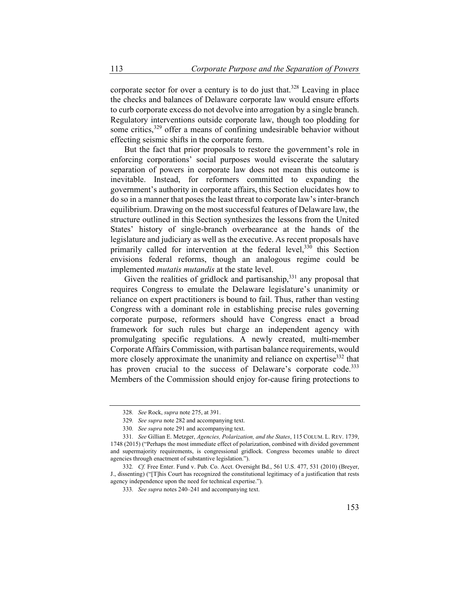corporate sector for over a century is to do just that.<sup>328</sup> Leaving in place the checks and balances of Delaware corporate law would ensure efforts to curb corporate excess do not devolve into arrogation by a single branch. Regulatory interventions outside corporate law, though too plodding for some critics,<sup>329</sup> offer a means of confining undesirable behavior without effecting seismic shifts in the corporate form.

But the fact that prior proposals to restore the government's role in enforcing corporations' social purposes would eviscerate the salutary separation of powers in corporate law does not mean this outcome is inevitable. Instead, for reformers committed to expanding the government's authority in corporate affairs, this Section elucidates how to do so in a manner that poses the least threat to corporate law's inter-branch equilibrium. Drawing on the most successful features of Delaware law, the structure outlined in this Section synthesizes the lessons from the United States' history of single-branch overbearance at the hands of the legislature and judiciary as well as the executive. As recent proposals have primarily called for intervention at the federal level,<sup>330</sup> this Section envisions federal reforms, though an analogous regime could be implemented *mutatis mutandis* at the state level.

Given the realities of gridlock and partisanship,  $331$  any proposal that requires Congress to emulate the Delaware legislature's unanimity or reliance on expert practitioners is bound to fail. Thus, rather than vesting Congress with a dominant role in establishing precise rules governing corporate purpose, reformers should have Congress enact a broad framework for such rules but charge an independent agency with promulgating specific regulations. A newly created, multi-member Corporate Affairs Commission, with partisan balance requirements, would more closely approximate the unanimity and reliance on expertise<sup>332</sup> that has proven crucial to the success of Delaware's corporate code.<sup>333</sup> Members of the Commission should enjoy for-cause firing protections to

<sup>328</sup>*. See* Rock, *supra* note 275, at 391.

<sup>329</sup>*. See supra* note 282 and accompanying text.

<sup>330</sup>*. See supra* note 291 and accompanying text.

<sup>331</sup>*. See* Gillian E. Metzger, *Agencies, Polarization, and the States*, 115 COLUM. L. REV. 1739, 1748 (2015) ("Perhaps the most immediate effect of polarization, combined with divided government and supermajority requirements, is congressional gridlock. Congress becomes unable to direct agencies through enactment of substantive legislation.").

<sup>332</sup>*. Cf.* Free Enter. Fund v. Pub. Co. Acct. Oversight Bd., 561 U.S. 477, 531 (2010) (Breyer, J., dissenting) ("[T]his Court has recognized the constitutional legitimacy of a justification that rests agency independence upon the need for technical expertise.").

<sup>333</sup>*. See supra* notes 240–241 and accompanying text.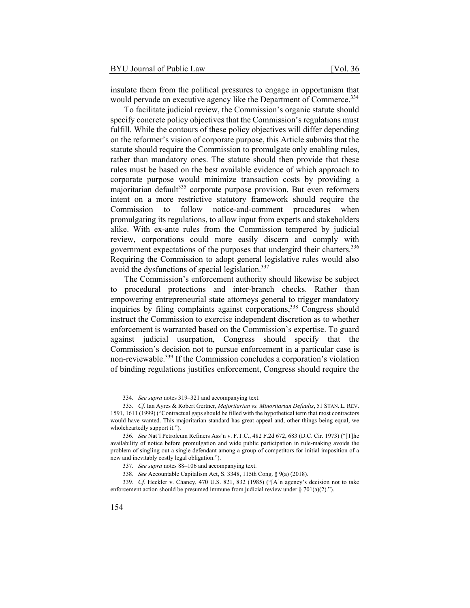insulate them from the political pressures to engage in opportunism that would pervade an executive agency like the Department of Commerce.<sup>334</sup>

To facilitate judicial review, the Commission's organic statute should specify concrete policy objectives that the Commission's regulations must fulfill. While the contours of these policy objectives will differ depending on the reformer's vision of corporate purpose, this Article submits that the statute should require the Commission to promulgate only enabling rules, rather than mandatory ones. The statute should then provide that these rules must be based on the best available evidence of which approach to corporate purpose would minimize transaction costs by providing a majoritarian default $335$  corporate purpose provision. But even reformers intent on a more restrictive statutory framework should require the Commission to follow notice-and-comment procedures when promulgating its regulations, to allow input from experts and stakeholders alike. With ex-ante rules from the Commission tempered by judicial review, corporations could more easily discern and comply with government expectations of the purposes that undergird their charters.<sup>336</sup> Requiring the Commission to adopt general legislative rules would also avoid the dysfunctions of special legislation.<sup>337</sup>

The Commission's enforcement authority should likewise be subject to procedural protections and inter-branch checks. Rather than empowering entrepreneurial state attorneys general to trigger mandatory inquiries by filing complaints against corporations,<sup>338</sup> Congress should instruct the Commission to exercise independent discretion as to whether enforcement is warranted based on the Commission's expertise. To guard against judicial usurpation, Congress should specify that the Commission's decision not to pursue enforcement in a particular case is non-reviewable.339 If the Commission concludes a corporation's violation of binding regulations justifies enforcement, Congress should require the

<sup>334</sup>*. See supra* notes 319–321 and accompanying text.

<sup>335</sup>*. Cf.* Ian Ayres & Robert Gertner, *Majoritarian vs. Minoritarian Defaults*, 51 STAN. L. REV. 1591, 1611 (1999) ("Contractual gaps should be filled with the hypothetical term that most contractors would have wanted. This majoritarian standard has great appeal and, other things being equal, we wholeheartedly support it.").

<sup>336</sup>*. See* Nat'l Petroleum Refiners Ass'n v. F.T.C., 482 F.2d 672, 683 (D.C. Cir. 1973) ("[T]he availability of notice before promulgation and wide public participation in rule-making avoids the problem of singling out a single defendant among a group of competitors for initial imposition of a new and inevitably costly legal obligation.").

<sup>337</sup>*. See supra* notes 88–106 and accompanying text.

<sup>338</sup>*. See* Accountable Capitalism Act, S. 3348, 115th Cong. § 9(a) (2018).

<sup>339</sup>*. Cf.* Heckler v. Chaney, 470 U.S. 821, 832 (1985) ("[A]n agency's decision not to take enforcement action should be presumed immune from judicial review under § 701(a)(2).").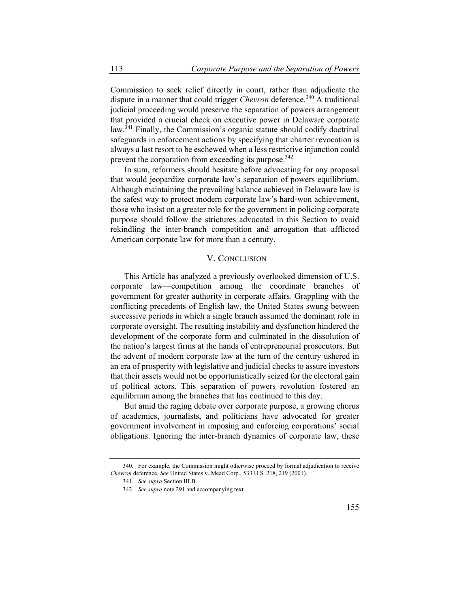Commission to seek relief directly in court, rather than adjudicate the dispute in a manner that could trigger *Chevron* deference.<sup>340</sup> A traditional judicial proceeding would preserve the separation of powers arrangement that provided a crucial check on executive power in Delaware corporate law.<sup>341</sup> Finally, the Commission's organic statute should codify doctrinal safeguards in enforcement actions by specifying that charter revocation is always a last resort to be eschewed when a less restrictive injunction could prevent the corporation from exceeding its purpose.<sup>342</sup>

In sum, reformers should hesitate before advocating for any proposal that would jeopardize corporate law's separation of powers equilibrium. Although maintaining the prevailing balance achieved in Delaware law is the safest way to protect modern corporate law's hard-won achievement, those who insist on a greater role for the government in policing corporate purpose should follow the strictures advocated in this Section to avoid rekindling the inter-branch competition and arrogation that afflicted American corporate law for more than a century.

## V. CONCLUSION

This Article has analyzed a previously overlooked dimension of U.S. corporate law—competition among the coordinate branches of government for greater authority in corporate affairs. Grappling with the conflicting precedents of English law, the United States swung between successive periods in which a single branch assumed the dominant role in corporate oversight. The resulting instability and dysfunction hindered the development of the corporate form and culminated in the dissolution of the nation's largest firms at the hands of entrepreneurial prosecutors. But the advent of modern corporate law at the turn of the century ushered in an era of prosperity with legislative and judicial checks to assure investors that their assets would not be opportunistically seized for the electoral gain of political actors. This separation of powers revolution fostered an equilibrium among the branches that has continued to this day.

But amid the raging debate over corporate purpose, a growing chorus of academics, journalists, and politicians have advocated for greater government involvement in imposing and enforcing corporations' social obligations. Ignoring the inter-branch dynamics of corporate law, these

<sup>340.</sup> For example, the Commission might otherwise proceed by formal adjudication to receive *Chevron* deference. *See* United States v. Mead Corp., 533 U.S. 218, 219 (2001).

<sup>341</sup>*. See supra* Section III.B.

<sup>342</sup>*. See supra* note 291 and accompanying text.